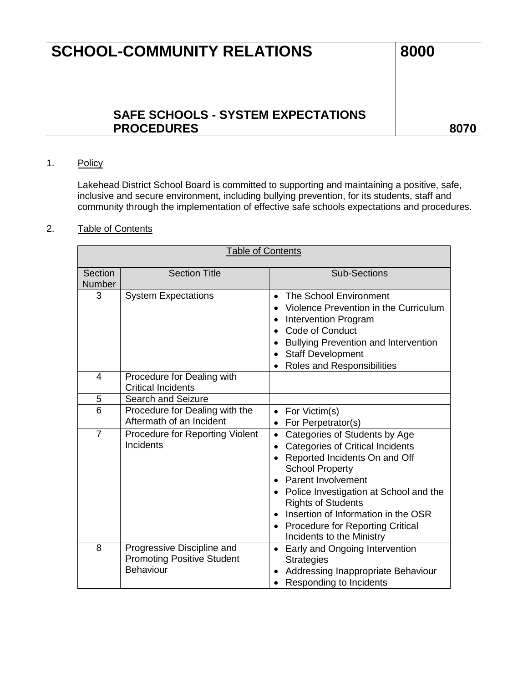## **SAFE SCHOOLS - SYSTEM EXPECTATIONS**  PROCEDURES and a series and a series of the series of the series and series and series and series and series of the series and series and series are series as a series of the series of the series of the series of the serie

### 1. Policy

Lakehead District School Board is committed to supporting and maintaining a positive, safe, inclusive and secure environment, including bullying prevention, for its students, staff and community through the implementation of effective safe schools expectations and procedures.

#### 2. Table of Contents

| <b>Table of Contents</b> |                                                                              |                                                                                                                                                                                                                                                                                                                                                                                               |  |  |  |
|--------------------------|------------------------------------------------------------------------------|-----------------------------------------------------------------------------------------------------------------------------------------------------------------------------------------------------------------------------------------------------------------------------------------------------------------------------------------------------------------------------------------------|--|--|--|
| Section<br>Number        | <b>Section Title</b>                                                         | <b>Sub-Sections</b>                                                                                                                                                                                                                                                                                                                                                                           |  |  |  |
| 3                        | <b>System Expectations</b>                                                   | <b>The School Environment</b><br>Violence Prevention in the Curriculum<br><b>Intervention Program</b><br>Code of Conduct<br><b>Bullying Prevention and Intervention</b><br><b>Staff Development</b><br>Roles and Responsibilities                                                                                                                                                             |  |  |  |
| 4                        | Procedure for Dealing with<br><b>Critical Incidents</b>                      |                                                                                                                                                                                                                                                                                                                                                                                               |  |  |  |
| 5                        | <b>Search and Seizure</b>                                                    |                                                                                                                                                                                                                                                                                                                                                                                               |  |  |  |
| 6                        | Procedure for Dealing with the<br>Aftermath of an Incident                   | For Victim(s)<br>For Perpetrator(s)                                                                                                                                                                                                                                                                                                                                                           |  |  |  |
| $\overline{7}$           | <b>Procedure for Reporting Violent</b><br>Incidents                          | Categories of Students by Age<br>$\bullet$<br><b>Categories of Critical Incidents</b><br>Reported Incidents On and Off<br>$\bullet$<br><b>School Property</b><br><b>Parent Involvement</b><br>Police Investigation at School and the<br>$\bullet$<br><b>Rights of Students</b><br>Insertion of Information in the OSR<br><b>Procedure for Reporting Critical</b><br>Incidents to the Ministry |  |  |  |
| 8                        | Progressive Discipline and<br><b>Promoting Positive Student</b><br>Behaviour | Early and Ongoing Intervention<br>$\bullet$<br><b>Strategies</b><br>Addressing Inappropriate Behaviour<br>Responding to Incidents                                                                                                                                                                                                                                                             |  |  |  |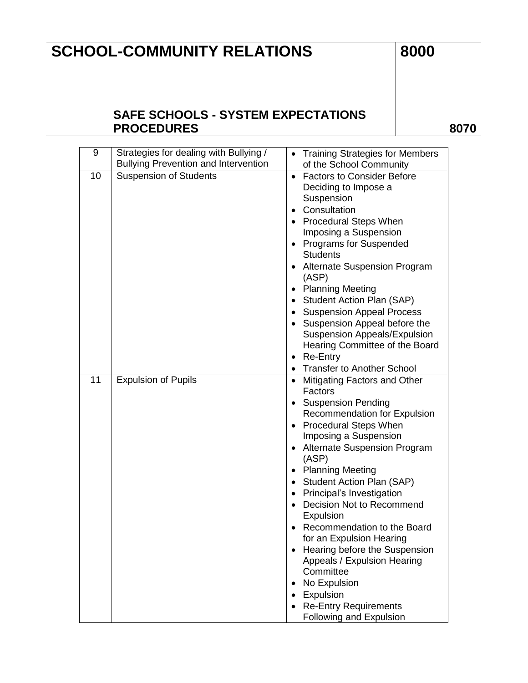### **SAFE SCHOOLS - SYSTEM EXPECTATIONS**  PROCEDURES 8070

| 9  | Strategies for dealing with Bullying /      | <b>Training Strategies for Members</b>        |
|----|---------------------------------------------|-----------------------------------------------|
|    | <b>Bullying Prevention and Intervention</b> | of the School Community                       |
| 10 | <b>Suspension of Students</b>               | • Factors to Consider Before                  |
|    |                                             | Deciding to Impose a                          |
|    |                                             | Suspension                                    |
|    |                                             | Consultation                                  |
|    |                                             | <b>Procedural Steps When</b>                  |
|    |                                             | Imposing a Suspension                         |
|    |                                             | <b>Programs for Suspended</b>                 |
|    |                                             | <b>Students</b>                               |
|    |                                             | <b>Alternate Suspension Program</b><br>(ASP)  |
|    |                                             | <b>Planning Meeting</b>                       |
|    |                                             | <b>Student Action Plan (SAP)</b><br>$\bullet$ |
|    |                                             | <b>Suspension Appeal Process</b>              |
|    |                                             | Suspension Appeal before the                  |
|    |                                             | <b>Suspension Appeals/Expulsion</b>           |
|    |                                             | Hearing Committee of the Board                |
|    |                                             | Re-Entry<br>٠                                 |
|    |                                             | <b>Transfer to Another School</b>             |
| 11 | <b>Expulsion of Pupils</b>                  | • Mitigating Factors and Other                |
|    |                                             | Factors                                       |
|    |                                             | <b>Suspension Pending</b>                     |
|    |                                             | <b>Recommendation for Expulsion</b>           |
|    |                                             | <b>Procedural Steps When</b>                  |
|    |                                             | Imposing a Suspension                         |
|    |                                             | <b>Alternate Suspension Program</b>           |
|    |                                             | (ASP)                                         |
|    |                                             | <b>Planning Meeting</b>                       |
|    |                                             | • Student Action Plan (SAP)                   |
|    |                                             | • Principal's Investigation                   |
|    |                                             | Decision Not to Recommend                     |
|    |                                             | Expulsion                                     |
|    |                                             | Recommendation to the Board                   |
|    |                                             | for an Expulsion Hearing                      |
|    |                                             | Hearing before the Suspension                 |
|    |                                             | Appeals / Expulsion Hearing                   |
|    |                                             | Committee                                     |
|    |                                             | No Expulsion                                  |
|    |                                             | Expulsion                                     |
|    |                                             | <b>Re-Entry Requirements</b>                  |
|    |                                             | Following and Expulsion                       |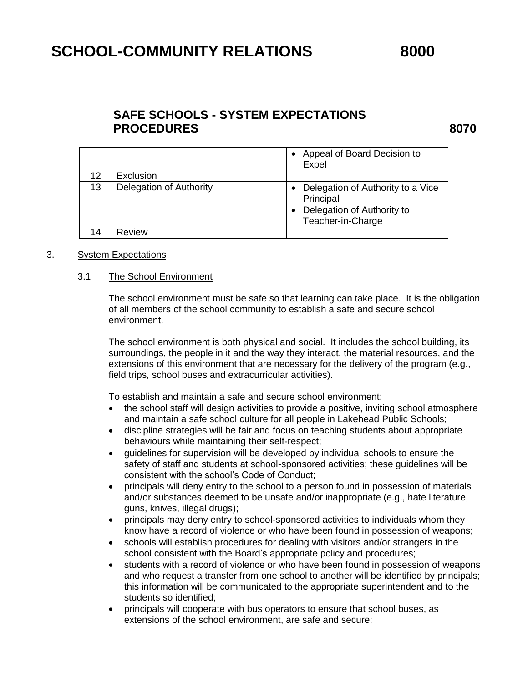### **SAFE SCHOOLS - SYSTEM EXPECTATIONS PROCEDURES 8070**

|    |                         | Appeal of Board Decision to<br>Expel                                                              |
|----|-------------------------|---------------------------------------------------------------------------------------------------|
| 12 | Exclusion               |                                                                                                   |
| 13 | Delegation of Authority | Delegation of Authority to a Vice<br>Principal<br>Delegation of Authority to<br>Teacher-in-Charge |
| 14 | Review                  |                                                                                                   |

#### 3. System Expectations

#### 3.1 The School Environment

The school environment must be safe so that learning can take place. It is the obligation of all members of the school community to establish a safe and secure school environment.

The school environment is both physical and social. It includes the school building, its surroundings, the people in it and the way they interact, the material resources, and the extensions of this environment that are necessary for the delivery of the program (e.g., field trips, school buses and extracurricular activities).

To establish and maintain a safe and secure school environment:

- the school staff will design activities to provide a positive, inviting school atmosphere and maintain a safe school culture for all people in Lakehead Public Schools;
- discipline strategies will be fair and focus on teaching students about appropriate behaviours while maintaining their self-respect;
- guidelines for supervision will be developed by individual schools to ensure the safety of staff and students at school-sponsored activities; these guidelines will be consistent with the school's Code of Conduct;
- principals will deny entry to the school to a person found in possession of materials and/or substances deemed to be unsafe and/or inappropriate (e.g., hate literature, guns, knives, illegal drugs);
- principals may deny entry to school-sponsored activities to individuals whom they know have a record of violence or who have been found in possession of weapons;
- schools will establish procedures for dealing with visitors and/or strangers in the school consistent with the Board's appropriate policy and procedures;
- students with a record of violence or who have been found in possession of weapons and who request a transfer from one school to another will be identified by principals; this information will be communicated to the appropriate superintendent and to the students so identified;
- principals will cooperate with bus operators to ensure that school buses, as extensions of the school environment, are safe and secure;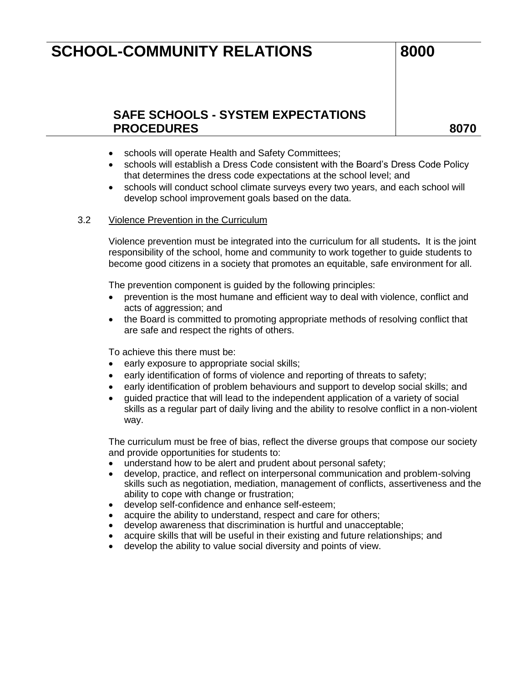### **SAFE SCHOOLS - SYSTEM EXPECTATIONS**  PROCEDURES and a series and a series of the series and a series and a series of the series and series and series  $\sim$

- schools will operate Health and Safety Committees;
- schools will establish a Dress Code consistent with the Board's Dress Code Policy that determines the dress code expectations at the school level; and
- schools will conduct school climate surveys every two years, and each school will develop school improvement goals based on the data.

#### 3.2 Violence Prevention in the Curriculum

Violence prevention must be integrated into the curriculum for all students**.** It is the joint responsibility of the school, home and community to work together to guide students to become good citizens in a society that promotes an equitable, safe environment for all.

The prevention component is guided by the following principles:

- prevention is the most humane and efficient way to deal with violence, conflict and acts of aggression; and
- the Board is committed to promoting appropriate methods of resolving conflict that are safe and respect the rights of others.

To achieve this there must be:

- early exposure to appropriate social skills;
- early identification of forms of violence and reporting of threats to safety;
- early identification of problem behaviours and support to develop social skills; and
- guided practice that will lead to the independent application of a variety of social skills as a regular part of daily living and the ability to resolve conflict in a non-violent way.

The curriculum must be free of bias, reflect the diverse groups that compose our society and provide opportunities for students to:

- understand how to be alert and prudent about personal safety;
- develop, practice, and reflect on interpersonal communication and problem-solving skills such as negotiation, mediation, management of conflicts, assertiveness and the ability to cope with change or frustration;
- develop self-confidence and enhance self-esteem;
- acquire the ability to understand, respect and care for others;
- develop awareness that discrimination is hurtful and unacceptable;
- acquire skills that will be useful in their existing and future relationships; and
- develop the ability to value social diversity and points of view.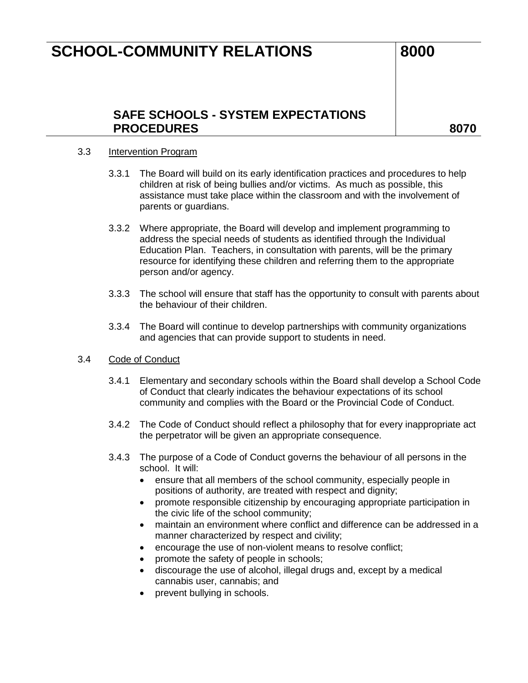### **SAFE SCHOOLS - SYSTEM EXPECTATIONS**  PROCEDURES and a series and a series of the series and a series and a series of the series and series and series  $\sim$

#### 3.3 **Intervention Program**

- 3.3.1 The Board will build on its early identification practices and procedures to help children at risk of being bullies and/or victims. As much as possible, this assistance must take place within the classroom and with the involvement of parents or guardians.
- 3.3.2 Where appropriate, the Board will develop and implement programming to address the special needs of students as identified through the Individual Education Plan. Teachers, in consultation with parents, will be the primary resource for identifying these children and referring them to the appropriate person and/or agency.
- 3.3.3 The school will ensure that staff has the opportunity to consult with parents about the behaviour of their children.
- 3.3.4 The Board will continue to develop partnerships with community organizations and agencies that can provide support to students in need.
- 3.4 Code of Conduct
	- 3.4.1 Elementary and secondary schools within the Board shall develop a School Code of Conduct that clearly indicates the behaviour expectations of its school community and complies with the Board or the Provincial Code of Conduct.
	- 3.4.2 The Code of Conduct should reflect a philosophy that for every inappropriate act the perpetrator will be given an appropriate consequence.
	- 3.4.3 The purpose of a Code of Conduct governs the behaviour of all persons in the school. It will:
		- ensure that all members of the school community, especially people in positions of authority, are treated with respect and dignity;
		- promote responsible citizenship by encouraging appropriate participation in the civic life of the school community;
		- maintain an environment where conflict and difference can be addressed in a manner characterized by respect and civility;
		- encourage the use of non-violent means to resolve conflict;
		- promote the safety of people in schools;
		- discourage the use of alcohol, illegal drugs and, except by a medical cannabis user, cannabis; and
		- prevent bullying in schools.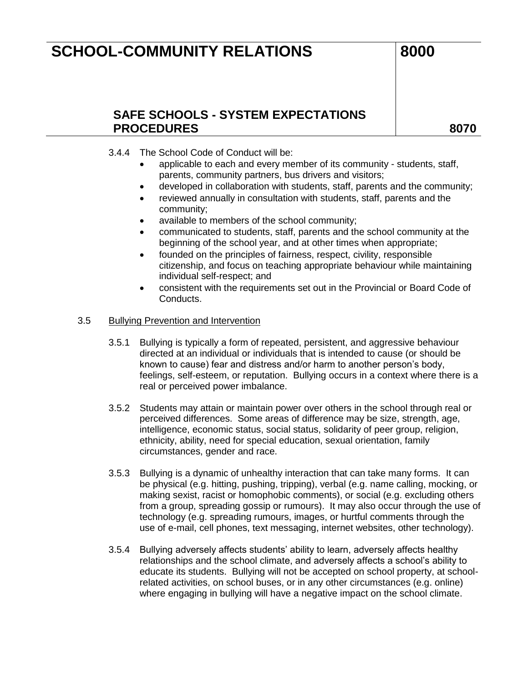### **SAFE SCHOOLS - SYSTEM EXPECTATIONS PROCEDURES 8070**

### 3.4.4 The School Code of Conduct will be:

- applicable to each and every member of its community students, staff, parents, community partners, bus drivers and visitors;
- developed in collaboration with students, staff, parents and the community;
- reviewed annually in consultation with students, staff, parents and the community;
- available to members of the school community;
- communicated to students, staff, parents and the school community at the beginning of the school year, and at other times when appropriate;
- founded on the principles of fairness, respect, civility, responsible citizenship, and focus on teaching appropriate behaviour while maintaining individual self-respect; and
- consistent with the requirements set out in the Provincial or Board Code of Conducts.

#### 3.5 Bullying Prevention and Intervention

- 3.5.1 Bullying is typically a form of repeated, persistent, and aggressive behaviour directed at an individual or individuals that is intended to cause (or should be known to cause) fear and distress and/or harm to another person's body, feelings, self-esteem, or reputation. Bullying occurs in a context where there is a real or perceived power imbalance.
- 3.5.2 Students may attain or maintain power over others in the school through real or perceived differences. Some areas of difference may be size, strength, age, intelligence, economic status, social status, solidarity of peer group, religion, ethnicity, ability, need for special education, sexual orientation, family circumstances, gender and race.
- 3.5.3 Bullying is a dynamic of unhealthy interaction that can take many forms. It can be physical (e.g. hitting, pushing, tripping), verbal (e.g. name calling, mocking, or making sexist, racist or homophobic comments), or social (e.g. excluding others from a group, spreading gossip or rumours). It may also occur through the use of technology (e.g. spreading rumours, images, or hurtful comments through the use of e-mail, cell phones, text messaging, internet websites, other technology).
- 3.5.4 Bullying adversely affects students' ability to learn, adversely affects healthy relationships and the school climate, and adversely affects a school's ability to educate its students. Bullying will not be accepted on school property, at schoolrelated activities, on school buses, or in any other circumstances (e.g. online) where engaging in bullying will have a negative impact on the school climate.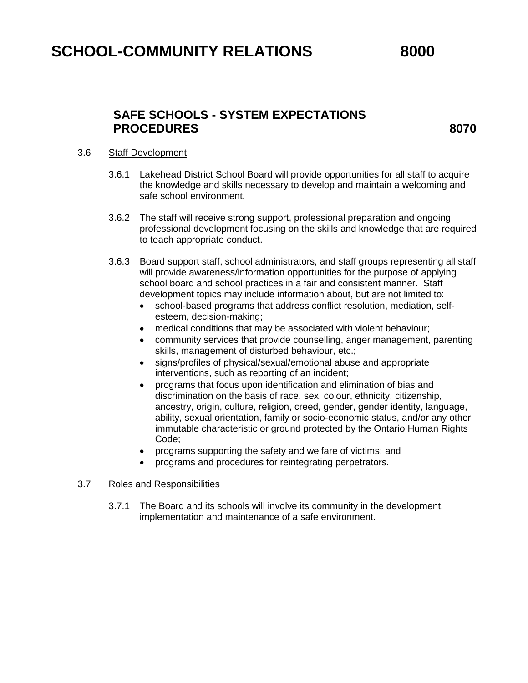### **SAFE SCHOOLS - SYSTEM EXPECTATIONS**  PROCEDURES and a series and a series of the series and a series and a series of the series and series and series  $\sim$

#### 3.6 Staff Development

- 3.6.1 Lakehead District School Board will provide opportunities for all staff to acquire the knowledge and skills necessary to develop and maintain a welcoming and safe school environment.
- 3.6.2 The staff will receive strong support, professional preparation and ongoing professional development focusing on the skills and knowledge that are required to teach appropriate conduct.
- 3.6.3 Board support staff, school administrators, and staff groups representing all staff will provide awareness/information opportunities for the purpose of applying school board and school practices in a fair and consistent manner. Staff development topics may include information about, but are not limited to:
	- school-based programs that address conflict resolution, mediation, selfesteem, decision-making;
	- medical conditions that may be associated with violent behaviour;
	- community services that provide counselling, anger management, parenting skills, management of disturbed behaviour, etc.;
	- signs/profiles of physical/sexual/emotional abuse and appropriate interventions, such as reporting of an incident;
	- programs that focus upon identification and elimination of bias and discrimination on the basis of race, sex, colour, ethnicity, citizenship, ancestry, origin, culture, religion, creed, gender, gender identity, language, ability, sexual orientation, family or socio-economic status, and/or any other immutable characteristic or ground protected by the Ontario Human Rights Code;
	- programs supporting the safety and welfare of victims; and
	- programs and procedures for reintegrating perpetrators.

#### 3.7 Roles and Responsibilities

3.7.1 The Board and its schools will involve its community in the development, implementation and maintenance of a safe environment.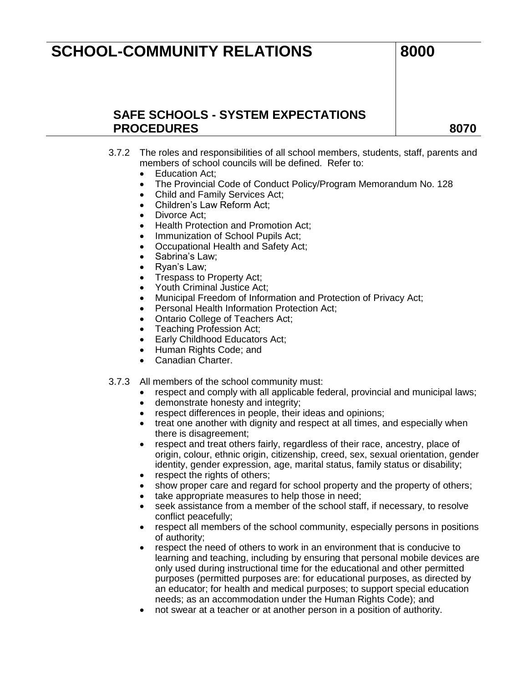### **SAFE SCHOOLS - SYSTEM EXPECTATIONS PROCEDURES 8070**

- 3.7.2 The roles and responsibilities of all school members, students, staff, parents and members of school councils will be defined. Refer to:
	- Education Act;
	- The Provincial Code of Conduct Policy/Program Memorandum No. 128
	- Child and Family Services Act;
	- Children's Law Reform Act:
	- Divorce Act:
	- Health Protection and Promotion Act:
	- Immunization of School Pupils Act;
	- Occupational Health and Safety Act;
	- Sabrina's Law;
	- Ryan's Law;
	- Trespass to Property Act;
	- Youth Criminal Justice Act;
	- Municipal Freedom of Information and Protection of Privacy Act;
	- Personal Health Information Protection Act;
	- Ontario College of Teachers Act;
	- Teaching Profession Act;
	- Early Childhood Educators Act;
	- Human Rights Code; and
	- Canadian Charter.
- 3.7.3 All members of the school community must:
	- respect and comply with all applicable federal, provincial and municipal laws;
	- demonstrate honesty and integrity;
	- respect differences in people, their ideas and opinions;
	- treat one another with dignity and respect at all times, and especially when there is disagreement;
	- respect and treat others fairly, regardless of their race, ancestry, place of origin, colour, ethnic origin, citizenship, creed, sex, sexual orientation, gender identity, gender expression, age, marital status, family status or disability;
	- respect the rights of others;
	- show proper care and regard for school property and the property of others;
	- take appropriate measures to help those in need;
	- seek assistance from a member of the school staff, if necessary, to resolve conflict peacefully;
	- respect all members of the school community, especially persons in positions of authority;
	- respect the need of others to work in an environment that is conducive to learning and teaching, including by ensuring that personal mobile devices are only used during instructional time for the educational and other permitted purposes (permitted purposes are: for educational purposes, as directed by an educator; for health and medical purposes; to support special education needs; as an accommodation under the Human Rights Code); and
	- not swear at a teacher or at another person in a position of authority.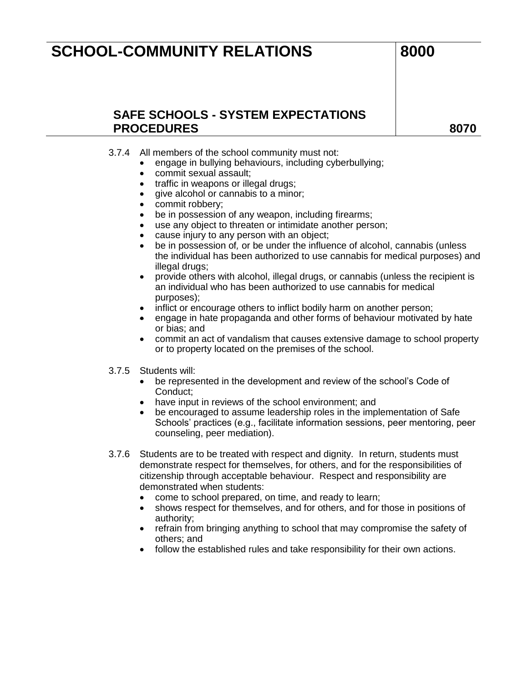### **SAFE SCHOOLS - SYSTEM EXPECTATIONS**  PROCEDURES and a series and a series of the series and a series and a series of the series and series and series  $\sim$

#### 3.7.4 All members of the school community must not:

- engage in bullying behaviours, including cyberbullying;
- commit sexual assault;
- traffic in weapons or illegal drugs;
- give alcohol or cannabis to a minor;
- commit robbery;
- be in possession of any weapon, including firearms;
- use any object to threaten or intimidate another person;
- cause injury to any person with an object;
- be in possession of*,* or be under the influence of alcohol, cannabis (unless the individual has been authorized to use cannabis for medical purposes) and illegal drugs;
- provide others with alcohol, illegal drugs, or cannabis (unless the recipient is an individual who has been authorized to use cannabis for medical purposes);
- inflict or encourage others to inflict bodily harm on another person;
- engage in hate propaganda and other forms of behaviour motivated by hate or bias; and
- commit an act of vandalism that causes extensive damage to school property or to property located on the premises of the school.
- 3.7.5 Students will:
	- be represented in the development and review of the school's Code of Conduct;
	- have input in reviews of the school environment; and
	- be encouraged to assume leadership roles in the implementation of Safe Schools' practices (e.g., facilitate information sessions, peer mentoring, peer counseling, peer mediation).
- 3.7.6 Students are to be treated with respect and dignity. In return, students must demonstrate respect for themselves, for others, and for the responsibilities of citizenship through acceptable behaviour. Respect and responsibility are demonstrated when students:
	- come to school prepared, on time, and ready to learn;
	- shows respect for themselves, and for others, and for those in positions of authority;
	- refrain from bringing anything to school that may compromise the safety of others; and
	- follow the established rules and take responsibility for their own actions.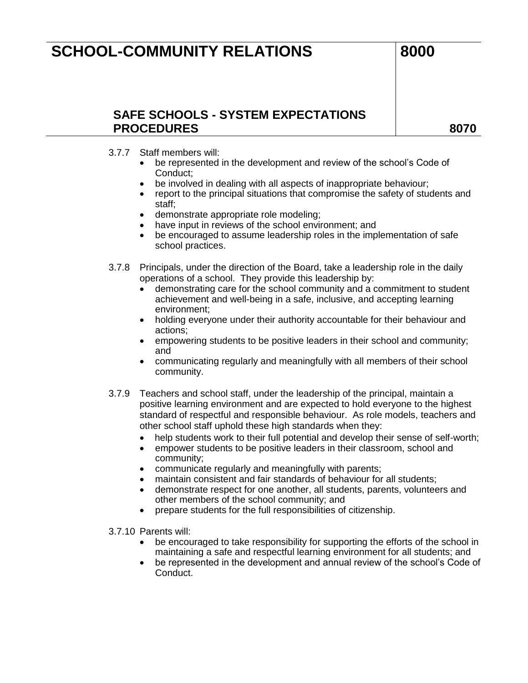## **SAFE SCHOOLS - SYSTEM EXPECTATIONS PROCEDURES 8070**

- 3.7.7 Staff members will:
	- be represented in the development and review of the school's Code of Conduct;
	- be involved in dealing with all aspects of inappropriate behaviour;
	- report to the principal situations that compromise the safety of students and staff;
	- demonstrate appropriate role modeling;
	- have input in reviews of the school environment; and
	- be encouraged to assume leadership roles in the implementation of safe school practices.
- 3.7.8 Principals, under the direction of the Board, take a leadership role in the daily operations of a school. They provide this leadership by:
	- demonstrating care for the school community and a commitment to student achievement and well-being in a safe, inclusive, and accepting learning environment;
	- holding everyone under their authority accountable for their behaviour and actions;
	- empowering students to be positive leaders in their school and community; and
	- communicating regularly and meaningfully with all members of their school community.
- 3.7.9 Teachers and school staff, under the leadership of the principal, maintain a positive learning environment and are expected to hold everyone to the highest standard of respectful and responsible behaviour. As role models, teachers and other school staff uphold these high standards when they:
	- help students work to their full potential and develop their sense of self-worth;
	- empower students to be positive leaders in their classroom, school and community;
	- communicate regularly and meaningfully with parents;
	- maintain consistent and fair standards of behaviour for all students;
	- demonstrate respect for one another, all students, parents, volunteers and other members of the school community; and
	- prepare students for the full responsibilities of citizenship.
- 3.7.10 Parents will:
	- be encouraged to take responsibility for supporting the efforts of the school in maintaining a safe and respectful learning environment for all students; and
	- be represented in the development and annual review of the school's Code of Conduct.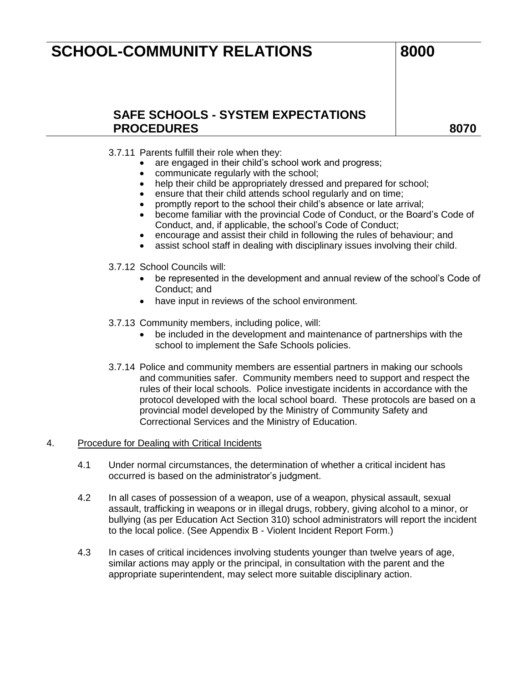### **SAFE SCHOOLS - SYSTEM EXPECTATIONS**  PROCEDURES and a series and a series of the series and a series and a series of the series and series and series  $\sim$

3.7.11 Parents fulfill their role when they:

- are engaged in their child's school work and progress;
- communicate regularly with the school;
- help their child be appropriately dressed and prepared for school;
- ensure that their child attends school regularly and on time;
- promptly report to the school their child's absence or late arrival;
- become familiar with the provincial Code of Conduct, or the Board's Code of Conduct, and, if applicable, the school's Code of Conduct;
- encourage and assist their child in following the rules of behaviour; and
- assist school staff in dealing with disciplinary issues involving their child.
- 3.7.12 School Councils will:
	- be represented in the development and annual review of the school's Code of Conduct; and
	- have input in reviews of the school environment.
- 3.7.13 Community members, including police, will:
	- be included in the development and maintenance of partnerships with the school to implement the Safe Schools policies.
- 3.7.14 Police and community members are essential partners in making our schools and communities safer. Community members need to support and respect the rules of their local schools. Police investigate incidents in accordance with the protocol developed with the local school board. These protocols are based on a provincial model developed by the Ministry of Community Safety and Correctional Services and the Ministry of Education.

#### 4. Procedure for Dealing with Critical Incidents

- 4.1 Under normal circumstances, the determination of whether a critical incident has occurred is based on the administrator's judgment.
- 4.2 In all cases of possession of a weapon, use of a weapon, physical assault, sexual assault, trafficking in weapons or in illegal drugs, robbery, giving alcohol to a minor, or bullying (as per Education Act Section 310) school administrators will report the incident to the local police. (See Appendix B - Violent Incident Report Form.)
- 4.3 In cases of critical incidences involving students younger than twelve years of age, similar actions may apply or the principal, in consultation with the parent and the appropriate superintendent, may select more suitable disciplinary action.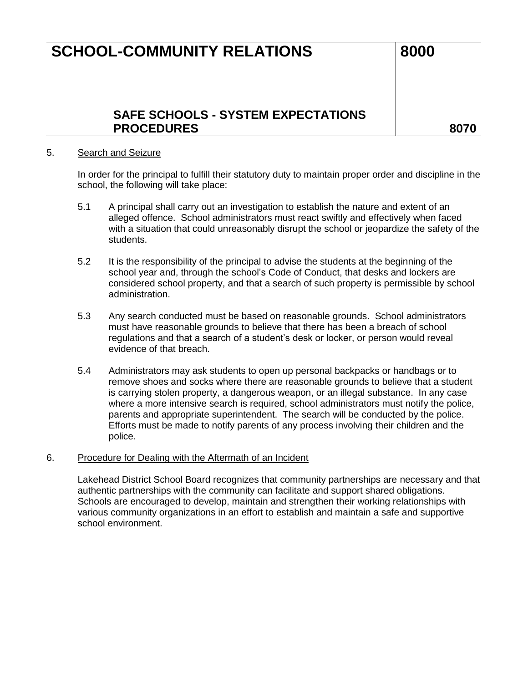### **SAFE SCHOOLS - SYSTEM EXPECTATIONS PROCEDURES 8070**

#### 5. Search and Seizure

In order for the principal to fulfill their statutory duty to maintain proper order and discipline in the school, the following will take place:

- 5.1 A principal shall carry out an investigation to establish the nature and extent of an alleged offence. School administrators must react swiftly and effectively when faced with a situation that could unreasonably disrupt the school or jeopardize the safety of the students.
- 5.2 It is the responsibility of the principal to advise the students at the beginning of the school year and, through the school's Code of Conduct, that desks and lockers are considered school property, and that a search of such property is permissible by school administration.
- 5.3 Any search conducted must be based on reasonable grounds. School administrators must have reasonable grounds to believe that there has been a breach of school regulations and that a search of a student's desk or locker, or person would reveal evidence of that breach.
- 5.4 Administrators may ask students to open up personal backpacks or handbags or to remove shoes and socks where there are reasonable grounds to believe that a student is carrying stolen property, a dangerous weapon, or an illegal substance. In any case where a more intensive search is required, school administrators must notify the police, parents and appropriate superintendent. The search will be conducted by the police. Efforts must be made to notify parents of any process involving their children and the police.

#### 6. Procedure for Dealing with the Aftermath of an Incident

Lakehead District School Board recognizes that community partnerships are necessary and that authentic partnerships with the community can facilitate and support shared obligations. Schools are encouraged to develop, maintain and strengthen their working relationships with various community organizations in an effort to establish and maintain a safe and supportive school environment.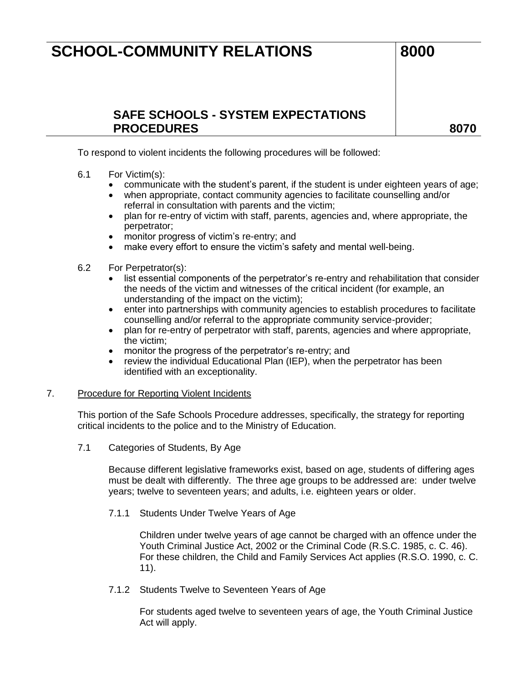### **SAFE SCHOOLS - SYSTEM EXPECTATIONS PROCEDURES 8070**

To respond to violent incidents the following procedures will be followed:

- 6.1 For Victim(s):
	- communicate with the student's parent, if the student is under eighteen years of age;
	- when appropriate, contact community agencies to facilitate counselling and/or referral in consultation with parents and the victim;
	- plan for re-entry of victim with staff, parents, agencies and, where appropriate, the perpetrator;
	- monitor progress of victim's re-entry; and
	- make every effort to ensure the victim's safety and mental well-being.
- 6.2 For Perpetrator(s):
	- list essential components of the perpetrator's re-entry and rehabilitation that consider the needs of the victim and witnesses of the critical incident (for example, an understanding of the impact on the victim);
	- enter into partnerships with community agencies to establish procedures to facilitate counselling and/or referral to the appropriate community service-provider;
	- plan for re-entry of perpetrator with staff, parents, agencies and where appropriate, the victim;
	- monitor the progress of the perpetrator's re-entry; and
	- review the individual Educational Plan (IEP), when the perpetrator has been identified with an exceptionality.

#### 7. Procedure for Reporting Violent Incidents

This portion of the Safe Schools Procedure addresses, specifically, the strategy for reporting critical incidents to the police and to the Ministry of Education.

7.1 Categories of Students, By Age

Because different legislative frameworks exist, based on age, students of differing ages must be dealt with differently. The three age groups to be addressed are: under twelve years; twelve to seventeen years; and adults, i.e. eighteen years or older.

7.1.1 Students Under Twelve Years of Age

Children under twelve years of age cannot be charged with an offence under the Youth Criminal Justice Act, 2002 or the Criminal Code (R.S.C. 1985, c. C. 46). For these children, the Child and Family Services Act applies (R.S.O. 1990, c. C. 11).

7.1.2 Students Twelve to Seventeen Years of Age

For students aged twelve to seventeen years of age, the Youth Criminal Justice Act will apply.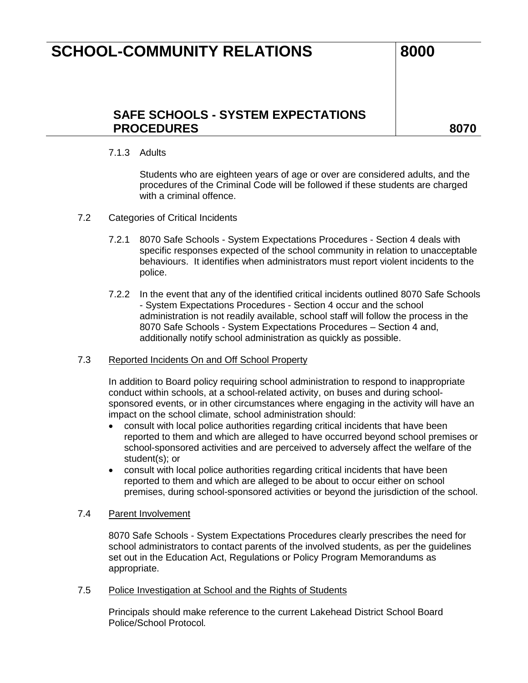### **SAFE SCHOOLS - SYSTEM EXPECTATIONS**  PROCEDURES and a series and a series of the series and a series and a series of the series and series and series  $\sim$

7.1.3 Adults

Students who are eighteen years of age or over are considered adults, and the procedures of the Criminal Code will be followed if these students are charged with a criminal offence.

- 7.2 Categories of Critical Incidents
	- 7.2.1 8070 Safe Schools System Expectations Procedures Section 4 deals with specific responses expected of the school community in relation to unacceptable behaviours. It identifies when administrators must report violent incidents to the police.
	- 7.2.2 In the event that any of the identified critical incidents outlined 8070 Safe Schools - System Expectations Procedures - Section 4 occur and the school administration is not readily available, school staff will follow the process in the 8070 Safe Schools - System Expectations Procedures – Section 4 and, additionally notify school administration as quickly as possible.

#### 7.3 Reported Incidents On and Off School Property

In addition to Board policy requiring school administration to respond to inappropriate conduct within schools, at a school-related activity, on buses and during schoolsponsored events, or in other circumstances where engaging in the activity will have an impact on the school climate, school administration should:

- consult with local police authorities regarding critical incidents that have been reported to them and which are alleged to have occurred beyond school premises or school-sponsored activities and are perceived to adversely affect the welfare of the student(s); or
- consult with local police authorities regarding critical incidents that have been reported to them and which are alleged to be about to occur either on school premises, during school-sponsored activities or beyond the jurisdiction of the school.

#### 7.4 Parent Involvement

8070 Safe Schools - System Expectations Procedures clearly prescribes the need for school administrators to contact parents of the involved students, as per the guidelines set out in the Education Act, Regulations or Policy Program Memorandums as appropriate.

#### 7.5 Police Investigation at School and the Rights of Students

Principal*s* should make reference to the current Lakehead District School Board Police/School Protocol*.*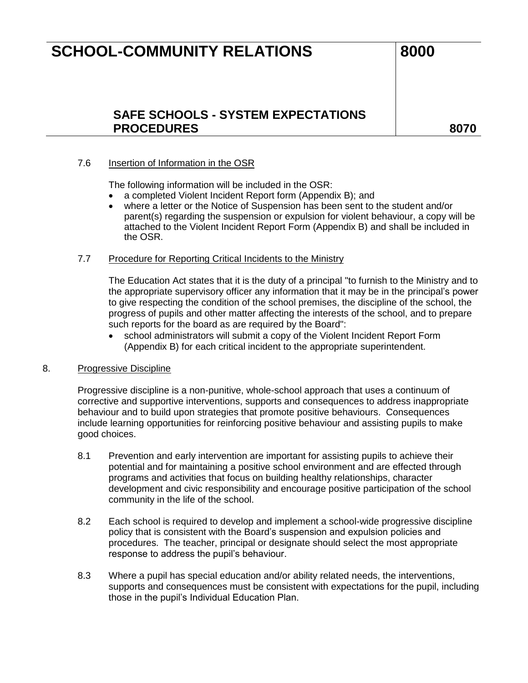### **SAFE SCHOOLS - SYSTEM EXPECTATIONS**  PROCEDURES and a series and a series of the series and a series and a series of the series and series and series  $\sim$

### 7.6 Insertion of Information in the OSR

The following information will be included in the OSR:

- a completed Violent Incident Report form (Appendix B); and
- where a letter or the Notice of Suspension has been sent to the student and/or parent(s) regarding the suspension or expulsion for violent behaviour, a copy will be attached to the Violent Incident Report Form (Appendix B) and shall be included in the OSR.

#### 7.7 Procedure for Reporting Critical Incidents to the Ministry

The Education Act states that it is the duty of a principal "to furnish to the Ministry and to the appropriate supervisory officer any information that it may be in the principal's power to give respecting the condition of the school premises, the discipline of the school, the progress of pupils and other matter affecting the interests of the school, and to prepare such reports for the board as are required by the Board":

 school administrators will submit a copy of the Violent Incident Report Form (Appendix B) for each critical incident to the appropriate superintendent.

#### 8. Progressive Discipline

Progressive discipline is a non-punitive, whole-school approach that uses a continuum of corrective and supportive interventions, supports and consequences to address inappropriate behaviour and to build upon strategies that promote positive behaviours. Consequences include learning opportunities for reinforcing positive behaviour and assisting pupils to make good choices.

- 8.1 Prevention and early intervention are important for assisting pupils to achieve their potential and for maintaining a positive school environment and are effected through programs and activities that focus on building healthy relationships, character development and civic responsibility and encourage positive participation of the school community in the life of the school.
- 8.2 Each school is required to develop and implement a school-wide progressive discipline policy that is consistent with the Board's suspension and expulsion policies and procedures. The teacher, principal or designate should select the most appropriate response to address the pupil's behaviour.
- 8.3 Where a pupil has special education and/or ability related needs, the interventions, supports and consequences must be consistent with expectations for the pupil, including those in the pupil's Individual Education Plan.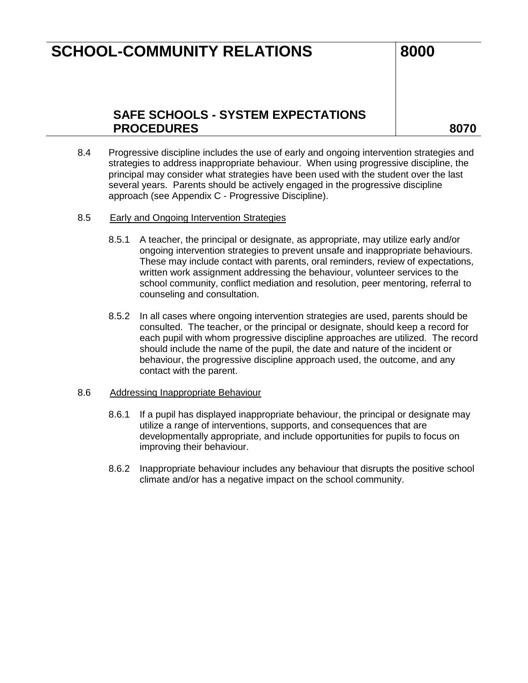### **SAFE SCHOOLS - SYSTEM EXPECTATIONS PROCEDURES 8070**

- 8.4 Progressive discipline includes the use of early and ongoing intervention strategies and strategies to address inappropriate behaviour. When using progressive discipline, the principal may consider what strategies have been used with the student over the last several years. Parents should be actively engaged in the progressive discipline approach (see Appendix C - Progressive Discipline).
- 8.5 Early and Ongoing Intervention Strategies
	- 8.5.1 A teacher, the principal or designate, as appropriate, may utilize early and/or ongoing intervention strategies to prevent unsafe and inappropriate behaviours. These may include contact with parents, oral reminders, review of expectations, written work assignment addressing the behaviour, volunteer services to the school community, conflict mediation and resolution, peer mentoring, referral to counseling and consultation.
	- 8.5.2 In all cases where ongoing intervention strategies are used, parents should be consulted. The teacher, or the principal or designate, should keep a record for each pupil with whom progressive discipline approaches are utilized. The record should include the name of the pupil, the date and nature of the incident or behaviour, the progressive discipline approach used, the outcome, and any contact with the parent.

#### 8.6 Addressing Inappropriate Behaviour

- 8.6.1 If a pupil has displayed inappropriate behaviour, the principal or designate may utilize a range of interventions, supports, and consequences that are developmentally appropriate, and include opportunities for pupils to focus on improving their behaviour.
- 8.6.2 Inappropriate behaviour includes any behaviour that disrupts the positive school climate and/or has a negative impact on the school community.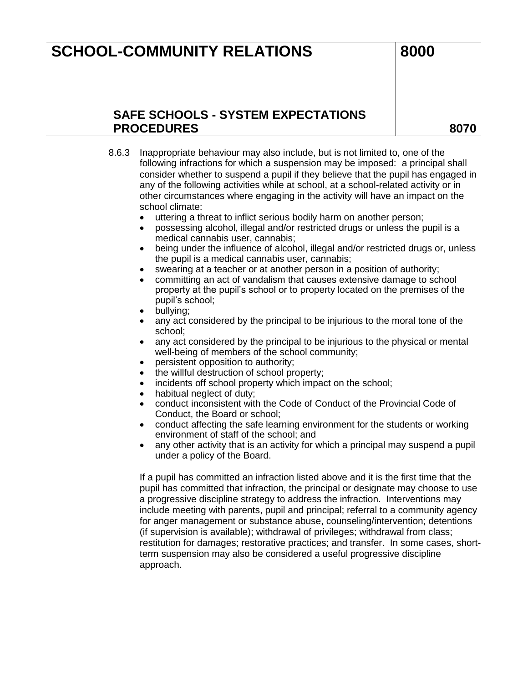### **SAFE SCHOOLS - SYSTEM EXPECTATIONS PROCEDURES 8070**

- 8.6.3 Inappropriate behaviour may also include, but is not limited to, one of the following infractions for which a suspension may be imposed: a principal shall consider whether to suspend a pupil if they believe that the pupil has engaged in any of the following activities while at school, at a school-related activity or in other circumstances where engaging in the activity will have an impact on the school climate:
	- uttering a threat to inflict serious bodily harm on another person;
	- possessing alcohol, illegal and/or restricted drugs or unless the pupil is a medical cannabis user, cannabis;
	- being under the influence of alcohol, illegal and/or restricted drugs or, unless the pupil is a medical cannabis user, cannabis;
	- swearing at a teacher or at another person in a position of authority;
	- committing an act of vandalism that causes extensive damage to school property at the pupil's school or to property located on the premises of the pupil's school;
	- bullying;
	- any act considered by the principal to be injurious to the moral tone of the school;
	- any act considered by the principal to be injurious to the physical or mental well-being of members of the school community;
	- persistent opposition to authority;
	- the willful destruction of school property;
	- incidents off school property which impact on the school;
	- habitual neglect of duty;
	- conduct inconsistent with the Code of Conduct of the Provincial Code of Conduct, the Board or school;
	- conduct affecting the safe learning environment for the students or working environment of staff of the school; and
	- any other activity that is an activity for which a principal may suspend a pupil under a policy of the Board.

If a pupil has committed an infraction listed above and it is the first time that the pupil has committed that infraction, the principal or designate may choose to use a progressive discipline strategy to address the infraction. Interventions may include meeting with parents, pupil and principal; referral to a community agency for anger management or substance abuse, counseling/intervention; detentions (if supervision is available); withdrawal of privileges; withdrawal from class; restitution for damages; restorative practices; and transfer. In some cases, shortterm suspension may also be considered a useful progressive discipline approach.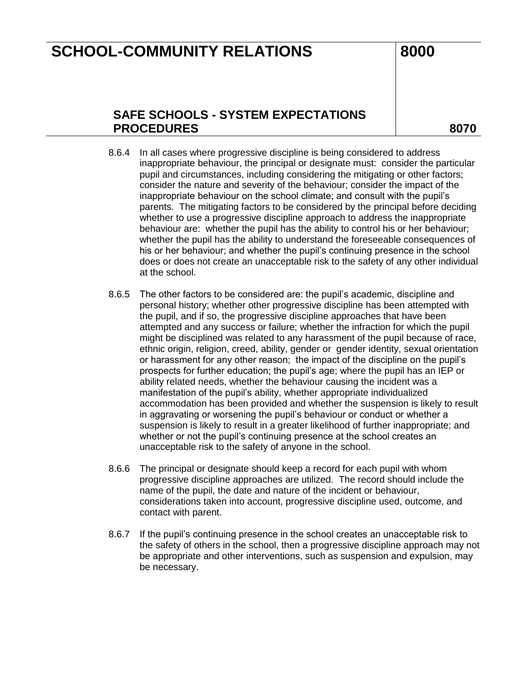### **SAFE SCHOOLS - SYSTEM EXPECTATIONS**  PROCEDURES and a series and a series of the series and a series and a series of the series and series and series  $\sim$

- 8.6.4 In all cases where progressive discipline is being considered to address inappropriate behaviour, the principal or designate must: consider the particular pupil and circumstances, including considering the mitigating or other factors; consider the nature and severity of the behaviour; consider the impact of the inappropriate behaviour on the school climate; and consult with the pupil's parents. The mitigating factors to be considered by the principal before deciding whether to use a progressive discipline approach to address the inappropriate behaviour are: whether the pupil has the ability to control his or her behaviour; whether the pupil has the ability to understand the foreseeable consequences of his or her behaviour; and whether the pupil's continuing presence in the school does or does not create an unacceptable risk to the safety of any other individual at the school.
- 8.6.5 The other factors to be considered are: the pupil's academic, discipline and personal history; whether other progressive discipline has been attempted with the pupil, and if so, the progressive discipline approaches that have been attempted and any success or failure; whether the infraction for which the pupil might be disciplined was related to any harassment of the pupil because of race, ethnic origin, religion, creed, ability, gender or gender identity, sexual orientation or harassment for any other reason; the impact of the discipline on the pupil's prospects for further education; the pupil's age; where the pupil has an IEP or ability related needs, whether the behaviour causing the incident was a manifestation of the pupil's ability, whether appropriate individualized accommodation has been provided and whether the suspension is likely to result in aggravating or worsening the pupil's behaviour or conduct or whether a suspension is likely to result in a greater likelihood of further inappropriate; and whether or not the pupil's continuing presence at the school creates an unacceptable risk to the safety of anyone in the school.
- 8.6.6 The principal or designate should keep a record for each pupil with whom progressive discipline approaches are utilized. The record should include the name of the pupil, the date and nature of the incident or behaviour, considerations taken into account, progressive discipline used, outcome, and contact with parent.
- 8.6.7 If the pupil's continuing presence in the school creates an unacceptable risk to the safety of others in the school, then a progressive discipline approach may not be appropriate and other interventions, such as suspension and expulsion, may be necessary.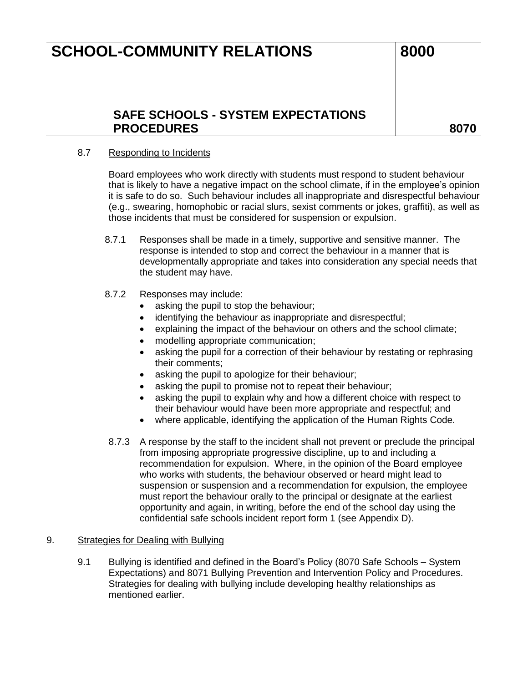### **SAFE SCHOOLS - SYSTEM EXPECTATIONS PROCEDURES 8070**

#### 8.7 Responding to Incidents

Board employees who work directly with students must respond to student behaviour that is likely to have a negative impact on the school climate, if in the employee's opinion it is safe to do so. Such behaviour includes all inappropriate and disrespectful behaviour (e.g., swearing, homophobic or racial slurs, sexist comments or jokes, graffiti), as well as those incidents that must be considered for suspension or expulsion.

- 8.7.1 Responses shall be made in a timely, supportive and sensitive manner. The response is intended to stop and correct the behaviour in a manner that is developmentally appropriate and takes into consideration any special needs that the student may have.
- 8.7.2 Responses may include:
	- asking the pupil to stop the behaviour;
	- identifying the behaviour as inappropriate and disrespectful;
	- explaining the impact of the behaviour on others and the school climate;
	- modelling appropriate communication;
	- asking the pupil for a correction of their behaviour by restating or rephrasing their comments;
	- asking the pupil to apologize for their behaviour;
	- asking the pupil to promise not to repeat their behaviour;
	- asking the pupil to explain why and how a different choice with respect to their behaviour would have been more appropriate and respectful; and
	- where applicable, identifying the application of the Human Rights Code.
- 8.7.3 A response by the staff to the incident shall not prevent or preclude the principal from imposing appropriate progressive discipline, up to and including a recommendation for expulsion. Where, in the opinion of the Board employee who works with students, the behaviour observed or heard might lead to suspension or suspension and a recommendation for expulsion, the employee must report the behaviour orally to the principal or designate at the earliest opportunity and again, in writing, before the end of the school day using the confidential safe schools incident report form 1 (see Appendix D).

#### 9. Strategies for Dealing with Bullying

9.1 Bullying is identified and defined in the Board's Policy (8070 Safe Schools – System Expectations) and 8071 Bullying Prevention and Intervention Policy and Procedures. Strategies for dealing with bullying include developing healthy relationships as mentioned earlier.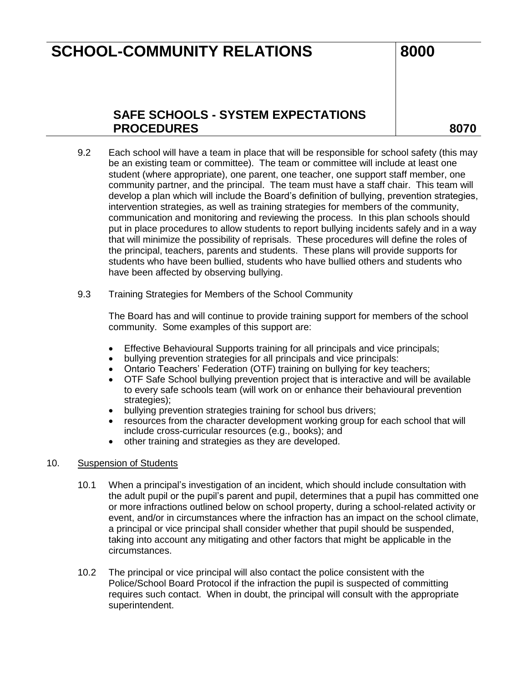## **SAFE SCHOOLS - SYSTEM EXPECTATIONS PROCEDURES 8070**

- 9.2 Each school will have a team in place that will be responsible for school safety (this may be an existing team or committee). The team or committee will include at least one student (where appropriate), one parent, one teacher, one support staff member, one community partner, and the principal. The team must have a staff chair. This team will develop a plan which will include the Board's definition of bullying, prevention strategies, intervention strategies, as well as training strategies for members of the community, communication and monitoring and reviewing the process. In this plan schools should put in place procedures to allow students to report bullying incidents safely and in a way that will minimize the possibility of reprisals. These procedures will define the roles of the principal, teachers, parents and students. These plans will provide supports for students who have been bullied, students who have bullied others and students who have been affected by observing bullying.
- 9.3 Training Strategies for Members of the School Community

The Board has and will continue to provide training support for members of the school community. Some examples of this support are:

- Effective Behavioural Supports training for all principals and vice principals;
- bullying prevention strategies for all principals and vice principals:
- Ontario Teachers' Federation (OTF) training on bullying for key teachers;
- OTF Safe School bullying prevention project that is interactive and will be available to every safe schools team (will work on or enhance their behavioural prevention strategies);
- bullying prevention strategies training for school bus drivers;
- resources from the character development working group for each school that will include cross-curricular resources (e.g., books); and
- other training and strategies as they are developed.

#### 10. Suspension of Students

- 10.1 When a principal's investigation of an incident, which should include consultation with the adult pupil or the pupil's parent and pupil, determines that a pupil has committed one or more infractions outlined below on school property, during a school-related activity or event, and/or in circumstances where the infraction has an impact on the school climate, a principal or vice principal shall consider whether that pupil should be suspended, taking into account any mitigating and other factors that might be applicable in the circumstances.
- 10.2 The principal or vice principal will also contact the police consistent with the Police/School Board Protocol if the infraction the pupil is suspected of committing requires such contact. When in doubt, the principal will consult with the appropriate superintendent.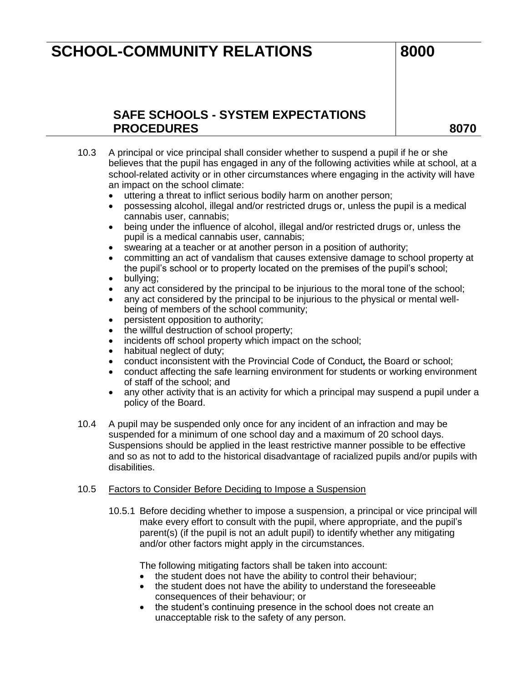## **SAFE SCHOOLS - SYSTEM EXPECTATIONS PROCEDURES 8070**

- 10.3 A principal or vice principal shall consider whether to suspend a pupil if he or she believes that the pupil has engaged in any of the following activities while at school, at a school-related activity or in other circumstances where engaging in the activity will have an impact on the school climate:
	- uttering a threat to inflict serious bodily harm on another person;
	- possessing alcohol, illegal and/or restricted drugs or, unless the pupil is a medical cannabis user, cannabis;
	- being under the influence of alcohol, illegal and/or restricted drugs or, unless the pupil is a medical cannabis user, cannabis;
	- swearing at a teacher or at another person in a position of authority;
	- committing an act of vandalism that causes extensive damage to school property at the pupil's school or to property located on the premises of the pupil's school;
	- bullying;
	- any act considered by the principal to be injurious to the moral tone of the school;
	- any act considered by the principal to be injurious to the physical or mental wellbeing of members of the school community;
	- persistent opposition to authority;
	- the willful destruction of school property;
	- incidents off school property which impact on the school;
	- habitual neglect of duty;
	- conduct inconsistent with the Provincial Code of Conduct*,* the Board or school;
	- conduct affecting the safe learning environment for students or working environment of staff of the school; and
	- any other activity that is an activity for which a principal may suspend a pupil under a policy of the Board.
- 10.4 A pupil may be suspended only once for any incident of an infraction and may be suspended for a minimum of one school day and a maximum of 20 school days. Suspensions should be applied in the least restrictive manner possible to be effective and so as not to add to the historical disadvantage of racialized pupils and/or pupils with disabilities.

#### 10.5 Factors to Consider Before Deciding to Impose a Suspension

10.5.1 Before deciding whether to impose a suspension, a principal or vice principal will make every effort to consult with the pupil, where appropriate, and the pupil's parent(s) (if the pupil is not an adult pupil) to identify whether any mitigating and/or other factors might apply in the circumstances.

The following mitigating factors shall be taken into account:

- the student does not have the ability to control their behaviour;
- the student does not have the ability to understand the foreseeable consequences of their behaviour; or
- the student's continuing presence in the school does not create an unacceptable risk to the safety of any person.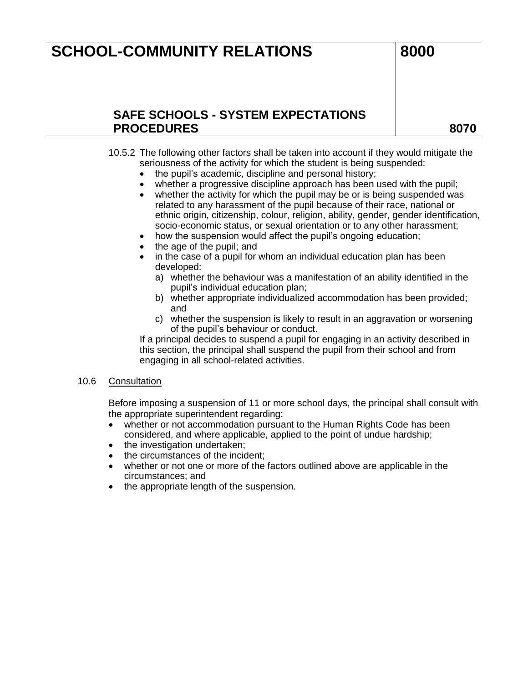### **SAFE SCHOOLS - SYSTEM EXPECTATIONS PROCEDURES 8070**

- 10.5.2 The following other factors shall be taken into account if they would mitigate the seriousness of the activity for which the student is being suspended:
	- the pupil's academic, discipline and personal history;
	- whether a progressive discipline approach has been used with the pupil;
	- whether the activity for which the pupil may be or is being suspended was related to any harassment of the pupil because of their race, national or ethnic origin, citizenship, colour, religion, ability, gender, gender identification, socio-economic status, or sexual orientation or to any other harassment;
	- how the suspension would affect the pupil's ongoing education;
	- the age of the pupil; and
	- in the case of a pupil for whom an individual education plan has been developed:
		- a) whether the behaviour was a manifestation of an ability identified in the pupil's individual education plan;
		- b) whether appropriate individualized accommodation has been provided; and
		- c) whether the suspension is likely to result in an aggravation or worsening of the pupil's behaviour or conduct.

If a principal decides to suspend a pupil for engaging in an activity described in this section, the principal shall suspend the pupil from their school and from engaging in all school-related activities.

#### 10.6 Consultation

Before imposing a suspension of 11 or more school days, the principal shall consult with the appropriate superintendent regarding:

- whether or not accommodation pursuant to the Human Rights Code has been considered, and where applicable, applied to the point of undue hardship;
- the investigation undertaken;
- the circumstances of the incident;
- whether or not one or more of the factors outlined above are applicable in the circumstances; and
- the appropriate length of the suspension.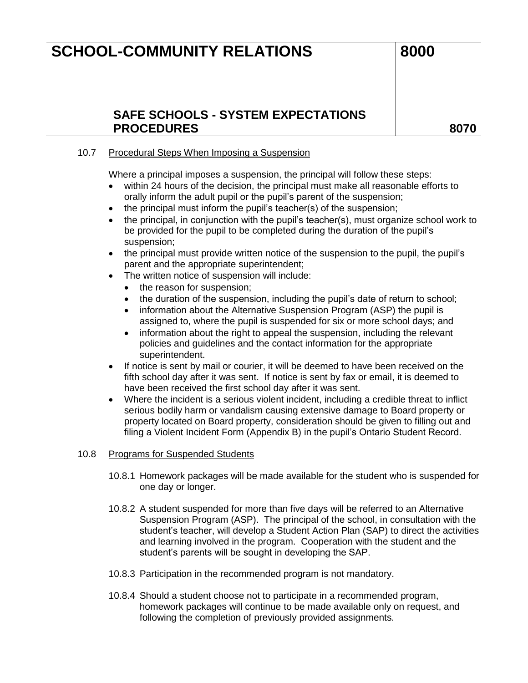### **SAFE SCHOOLS - SYSTEM EXPECTATIONS**  PROCEDURES and a series and a series of the series and a series and a series of the series and series and series  $\sim$

### 10.7 Procedural Steps When Imposing a Suspension

Where a principal imposes a suspension, the principal will follow these steps:

- within 24 hours of the decision, the principal must make all reasonable efforts to orally inform the adult pupil or the pupil's parent of the suspension;
- the principal must inform the pupil's teacher(s) of the suspension;
- the principal, in conjunction with the pupil's teacher(s), must organize school work to be provided for the pupil to be completed during the duration of the pupil's suspension;
- the principal must provide written notice of the suspension to the pupil, the pupil's parent and the appropriate superintendent;
- The written notice of suspension will include:
	- the reason for suspension;
	- the duration of the suspension, including the pupil's date of return to school;
	- information about the Alternative Suspension Program (ASP) the pupil is assigned to, where the pupil is suspended for six or more school days; and
	- information about the right to appeal the suspension, including the relevant policies and guidelines and the contact information for the appropriate superintendent.
- If notice is sent by mail or courier, it will be deemed to have been received on the fifth school day after it was sent. If notice is sent by fax or email, it is deemed to have been received the first school day after it was sent.
- Where the incident is a serious violent incident, including a credible threat to inflict serious bodily harm or vandalism causing extensive damage to Board property or property located on Board property, consideration should be given to filling out and filing a Violent Incident Form (Appendix B) in the pupil's Ontario Student Record.

#### 10.8 Programs for Suspended Students

- 10.8.1 Homework packages will be made available for the student who is suspended for one day or longer.
- 10.8.2 A student suspended for more than five days will be referred to an Alternative Suspension Program (ASP). The principal of the school, in consultation with the student's teacher, will develop a Student Action Plan (SAP) to direct the activities and learning involved in the program. Cooperation with the student and the student's parents will be sought in developing the SAP.
- 10.8.3 Participation in the recommended program is not mandatory.
- 10.8.4 Should a student choose not to participate in a recommended program, homework packages will continue to be made available only on request, and following the completion of previously provided assignments.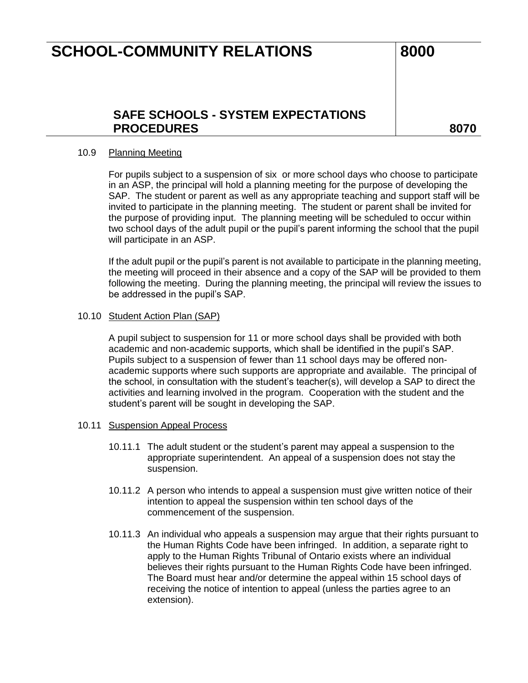### **SAFE SCHOOLS - SYSTEM EXPECTATIONS**  PROCEDURES and a series and a series of the series and a series and a series of the series and series and series  $\sim$

#### 10.9 Planning Meeting

For pupils subject to a suspension of six or more school days who choose to participate in an ASP, the principal will hold a planning meeting for the purpose of developing the SAP. The student or parent as well as any appropriate teaching and support staff will be invited to participate in the planning meeting. The student or parent shall be invited for the purpose of providing input. The planning meeting will be scheduled to occur within two school days of the adult pupil or the pupil's parent informing the school that the pupil will participate in an ASP.

If the adult pupil or the pupil's parent is not available to participate in the planning meeting, the meeting will proceed in their absence and a copy of the SAP will be provided to them following the meeting. During the planning meeting, the principal will review the issues to be addressed in the pupil's SAP.

#### 10.10 Student Action Plan (SAP)

A pupil subject to suspension for 11 or more school days shall be provided with both academic and non-academic supports, which shall be identified in the pupil's SAP. Pupils subject to a suspension of fewer than 11 school days may be offered nonacademic supports where such supports are appropriate and available. The principal of the school, in consultation with the student's teacher(s), will develop a SAP to direct the activities and learning involved in the program. Cooperation with the student and the student's parent will be sought in developing the SAP.

#### 10.11 Suspension Appeal Process

- 10.11.1 The adult student or the student's parent may appeal a suspension to the appropriate superintendent. An appeal of a suspension does not stay the suspension.
- 10.11.2 A person who intends to appeal a suspension must give written notice of their intention to appeal the suspension within ten school days of the commencement of the suspension.
- 10.11.3 An individual who appeals a suspension may argue that their rights pursuant to the Human Rights Code have been infringed. In addition, a separate right to apply to the Human Rights Tribunal of Ontario exists where an individual believes their rights pursuant to the Human Rights Code have been infringed. The Board must hear and/or determine the appeal within 15 school days of receiving the notice of intention to appeal (unless the parties agree to an extension).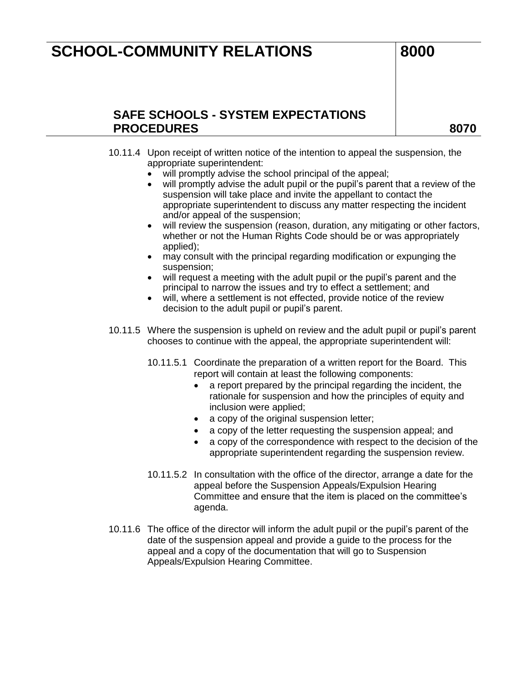### **SAFE SCHOOLS - SYSTEM EXPECTATIONS PROCEDURES 8070**

- 10.11.4 Upon receipt of written notice of the intention to appeal the suspension, the appropriate superintendent:
	- will promptly advise the school principal of the appeal;
	- will promptly advise the adult pupil or the pupil's parent that a review of the suspension will take place and invite the appellant to contact the appropriate superintendent to discuss any matter respecting the incident and/or appeal of the suspension;
	- will review the suspension (reason, duration, any mitigating or other factors, whether or not the Human Rights Code should be or was appropriately applied);
	- may consult with the principal regarding modification or expunging the suspension;
	- will request a meeting with the adult pupil or the pupil's parent and the principal to narrow the issues and try to effect a settlement; and
	- will, where a settlement is not effected, provide notice of the review decision to the adult pupil or pupil's parent.
- 10.11.5 Where the suspension is upheld on review and the adult pupil or pupil's parent chooses to continue with the appeal, the appropriate superintendent will:
	- 10.11.5.1 Coordinate the preparation of a written report for the Board. This report will contain at least the following components:
		- a report prepared by the principal regarding the incident, the rationale for suspension and how the principles of equity and inclusion were applied;
		- a copy of the original suspension letter;
		- a copy of the letter requesting the suspension appeal; and
		- a copy of the correspondence with respect to the decision of the appropriate superintendent regarding the suspension review.
	- 10.11.5.2 In consultation with the office of the director, arrange a date for the appeal before the Suspension Appeals/Expulsion Hearing Committee and ensure that the item is placed on the committee's agenda.
- 10.11.6 The office of the director will inform the adult pupil or the pupil's parent of the date of the suspension appeal and provide a guide to the process for the appeal and a copy of the documentation that will go to Suspension Appeals/Expulsion Hearing Committee.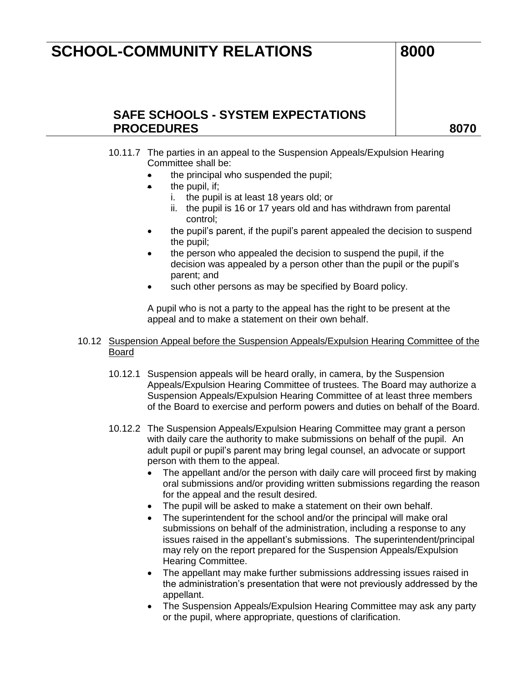### **SAFE SCHOOLS - SYSTEM EXPECTATIONS**  PROCEDURES and a series and a series of the series and a series and a series of the series and series and series  $\sim$

- 10.11.7 The parties in an appeal to the Suspension Appeals/Expulsion Hearing Committee shall be:
	- $\bullet$  the principal who suspended the pupil;
	- $\bullet$  the pupil, if;
		- i. the pupil is at least 18 years old; or
		- ii. the pupil is 16 or 17 years old and has withdrawn from parental control;
	- the pupil's parent, if the pupil's parent appealed the decision to suspend the pupil;
	- the person who appealed the decision to suspend the pupil, if the decision was appealed by a person other than the pupil or the pupil's parent; and
	- such other persons as may be specified by Board policy.

A pupil who is not a party to the appeal has the right to be present at the appeal and to make a statement on their own behalf.

- 10.12 Suspension Appeal before the Suspension Appeals/Expulsion Hearing Committee of the Board
	- 10.12.1 Suspension appeals will be heard orally, in camera, by the Suspension Appeals/Expulsion Hearing Committee of trustees. The Board may authorize a Suspension Appeals/Expulsion Hearing Committee of at least three members of the Board to exercise and perform powers and duties on behalf of the Board.
	- 10.12.2 The Suspension Appeals/Expulsion Hearing Committee may grant a person with daily care the authority to make submissions on behalf of the pupil. An adult pupil or pupil's parent may bring legal counsel, an advocate or support person with them to the appeal.
		- The appellant and/or the person with daily care will proceed first by making oral submissions and/or providing written submissions regarding the reason for the appeal and the result desired.
		- The pupil will be asked to make a statement on their own behalf.
		- The superintendent for the school and/or the principal will make oral submissions on behalf of the administration, including a response to any issues raised in the appellant's submissions. The superintendent/principal may rely on the report prepared for the Suspension Appeals/Expulsion Hearing Committee.
		- The appellant may make further submissions addressing issues raised in the administration's presentation that were not previously addressed by the appellant.
		- The Suspension Appeals/Expulsion Hearing Committee may ask any party or the pupil, where appropriate, questions of clarification.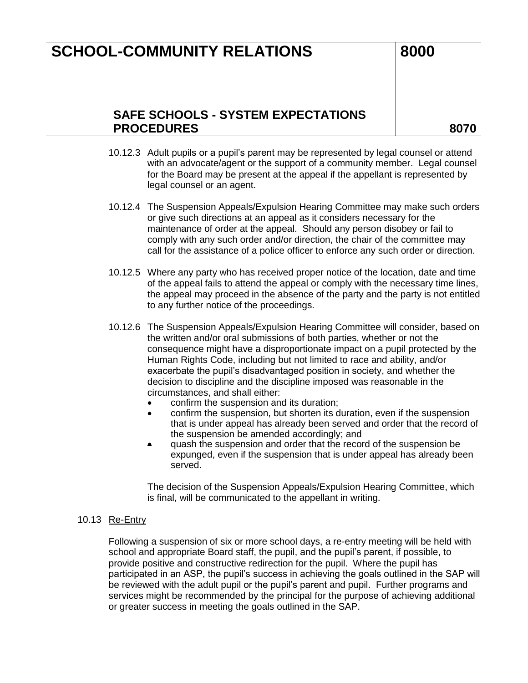### **SAFE SCHOOLS - SYSTEM EXPECTATIONS PROCEDURES 8070**

- 10.12.3 Adult pupils or a pupil's parent may be represented by legal counsel or attend with an advocate/agent or the support of a community member. Legal counsel for the Board may be present at the appeal if the appellant is represented by legal counsel or an agent.
- 10.12.4 The Suspension Appeals/Expulsion Hearing Committee may make such orders or give such directions at an appeal as it considers necessary for the maintenance of order at the appeal. Should any person disobey or fail to comply with any such order and/or direction, the chair of the committee may call for the assistance of a police officer to enforce any such order or direction.
- 10.12.5 Where any party who has received proper notice of the location, date and time of the appeal fails to attend the appeal or comply with the necessary time lines, the appeal may proceed in the absence of the party and the party is not entitled to any further notice of the proceedings.
- 10.12.6 The Suspension Appeals/Expulsion Hearing Committee will consider, based on the written and/or oral submissions of both parties, whether or not the consequence might have a disproportionate impact on a pupil protected by the Human Rights Code, including but not limited to race and ability, and/or exacerbate the pupil's disadvantaged position in society, and whether the decision to discipline and the discipline imposed was reasonable in the circumstances, and shall either:
	- confirm the suspension and its duration;
	- confirm the suspension, but shorten its duration, even if the suspension that is under appeal has already been served and order that the record of the suspension be amended accordingly; and
	- quash the suspension and order that the record of the suspension be expunged, even if the suspension that is under appeal has already been served.

The decision of the Suspension Appeals/Expulsion Hearing Committee, which is final, will be communicated to the appellant in writing.

#### 10.13 Re-Entry

Following a suspension of six or more school days, a re-entry meeting will be held with school and appropriate Board staff, the pupil, and the pupil's parent, if possible, to provide positive and constructive redirection for the pupil. Where the pupil has participated in an ASP, the pupil's success in achieving the goals outlined in the SAP will be reviewed with the adult pupil or the pupil's parent and pupil. Further programs and services might be recommended by the principal for the purpose of achieving additional or greater success in meeting the goals outlined in the SAP.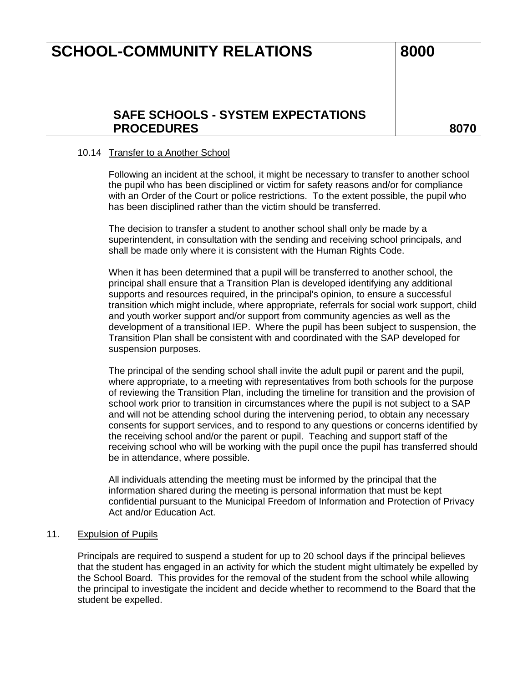### **SAFE SCHOOLS - SYSTEM EXPECTATIONS**  PROCEDURES and a series and a series of the series and a series and a series of the series and series and series  $\sim$

#### 10.14 Transfer to a Another School

Following an incident at the school, it might be necessary to transfer to another school the pupil who has been disciplined or victim for safety reasons and/or for compliance with an Order of the Court or police restrictions. To the extent possible, the pupil who has been disciplined rather than the victim should be transferred.

The decision to transfer a student to another school shall only be made by a superintendent, in consultation with the sending and receiving school principals, and shall be made only where it is consistent with the Human Rights Code.

When it has been determined that a pupil will be transferred to another school, the principal shall ensure that a Transition Plan is developed identifying any additional supports and resources required, in the principal's opinion, to ensure a successful transition which might include, where appropriate, referrals for social work support, child and youth worker support and/or support from community agencies as well as the development of a transitional IEP. Where the pupil has been subject to suspension, the Transition Plan shall be consistent with and coordinated with the SAP developed for suspension purposes.

The principal of the sending school shall invite the adult pupil or parent and the pupil, where appropriate, to a meeting with representatives from both schools for the purpose of reviewing the Transition Plan, including the timeline for transition and the provision of school work prior to transition in circumstances where the pupil is not subject to a SAP and will not be attending school during the intervening period, to obtain any necessary consents for support services, and to respond to any questions or concerns identified by the receiving school and/or the parent or pupil. Teaching and support staff of the receiving school who will be working with the pupil once the pupil has transferred should be in attendance, where possible.

All individuals attending the meeting must be informed by the principal that the information shared during the meeting is personal information that must be kept confidential pursuant to the Municipal Freedom of Information and Protection of Privacy Act and/or Education Act.

#### 11. Expulsion of Pupils

Principals are required to suspend a student for up to 20 school days if the principal believes that the student has engaged in an activity for which the student might ultimately be expelled by the School Board. This provides for the removal of the student from the school while allowing the principal to investigate the incident and decide whether to recommend to the Board that the student be expelled.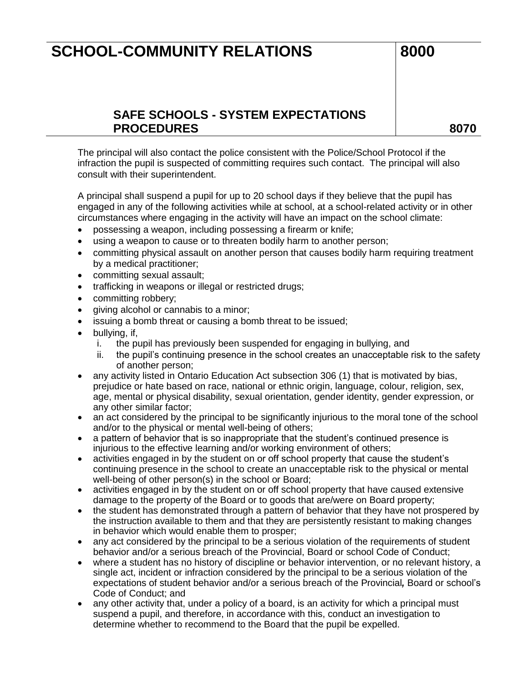## **SAFE SCHOOLS - SYSTEM EXPECTATIONS PROCEDURES 8070**

The principal will also contact the police consistent with the Police/School Protocol if the infraction the pupil is suspected of committing requires such contact. The principal will also consult with their superintendent.

A principal shall suspend a pupil for up to 20 school days if they believe that the pupil has engaged in any of the following activities while at school, at a school-related activity or in other circumstances where engaging in the activity will have an impact on the school climate:

- possessing a weapon, including possessing a firearm or knife;
- using a weapon to cause or to threaten bodily harm to another person;
- committing physical assault on another person that causes bodily harm requiring treatment by a medical practitioner;
- committing sexual assault;
- trafficking in weapons or illegal or restricted drugs;
- committing robbery;
- giving alcohol or cannabis to a minor;
- issuing a bomb threat or causing a bomb threat to be issued;
- bullying, if,
	- i. the pupil has previously been suspended for engaging in bullying, and
	- ii. the pupil's continuing presence in the school creates an unacceptable risk to the safety of another person;
- any activity listed in Ontario Education Act subsection 306 (1) that is motivated by bias, prejudice or hate based on race, national or ethnic origin, language, colour, religion, sex, age, mental or physical disability, sexual orientation, gender identity, gender expression, or any other similar factor;
- an act considered by the principal to be significantly injurious to the moral tone of the school and/or to the physical or mental well-being of others;
- a pattern of behavior that is so inappropriate that the student's continued presence is injurious to the effective learning and/or working environment of others;
- activities engaged in by the student on or off school property that cause the student's continuing presence in the school to create an unacceptable risk to the physical or mental well-being of other person(s) in the school or Board;
- activities engaged in by the student on or off school property that have caused extensive damage to the property of the Board or to goods that are/were on Board property;
- the student has demonstrated through a pattern of behavior that they have not prospered by the instruction available to them and that they are persistently resistant to making changes in behavior which would enable them to prosper;
- any act considered by the principal to be a serious violation of the requirements of student behavior and/or a serious breach of the Provincial, Board or school Code of Conduct;
- where a student has no history of discipline or behavior intervention, or no relevant history, a single act, incident or infraction considered by the principal to be a serious violation of the expectations of student behavior and/or a serious breach of the Provincial*,* Board or school's Code of Conduct; and
- any other activity that, under a policy of a board, is an activity for which a principal must suspend a pupil, and therefore, in accordance with this, conduct an investigation to determine whether to recommend to the Board that the pupil be expelled.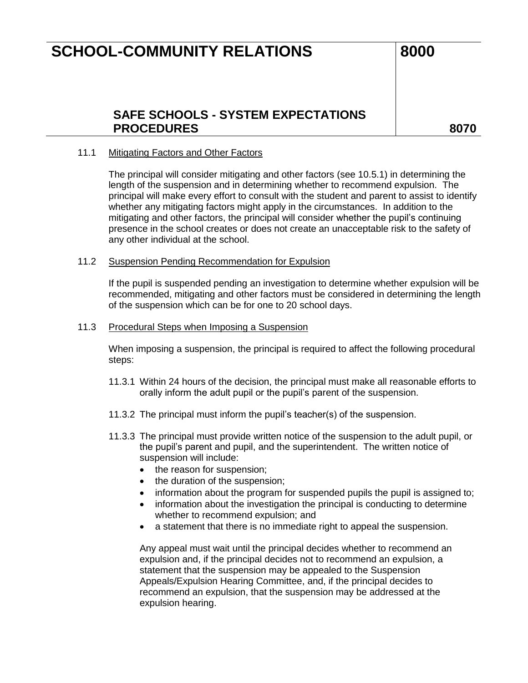### **SAFE SCHOOLS - SYSTEM EXPECTATIONS**  PROCEDURES and a series and a series of the series and a series and a series of the series and series and series  $\sim$

#### 11.1 Mitigating Factors and Other Factors

The principal will consider mitigating and other factors (see 10.5.1) in determining the length of the suspension and in determining whether to recommend expulsion. The principal will make every effort to consult with the student and parent to assist to identify whether any mitigating factors might apply in the circumstances. In addition to the mitigating and other factors, the principal will consider whether the pupil's continuing presence in the school creates or does not create an unacceptable risk to the safety of any other individual at the school.

#### 11.2 Suspension Pending Recommendation for Expulsion

If the pupil is suspended pending an investigation to determine whether expulsion will be recommended, mitigating and other factors must be considered in determining the length of the suspension which can be for one to 20 school days.

#### 11.3 Procedural Steps when Imposing a Suspension

When imposing a suspension, the principal is required to affect the following procedural steps:

- 11.3.1 Within 24 hours of the decision, the principal must make all reasonable efforts to orally inform the adult pupil or the pupil's parent of the suspension.
- 11.3.2 The principal must inform the pupil's teacher(s) of the suspension.
- 11.3.3 The principal must provide written notice of the suspension to the adult pupil, or the pupil's parent and pupil, and the superintendent. The written notice of suspension will include:
	- the reason for suspension;
	- the duration of the suspension;
	- information about the program for suspended pupils the pupil is assigned to;
	- information about the investigation the principal is conducting to determine whether to recommend expulsion; and
	- a statement that there is no immediate right to appeal the suspension.

Any appeal must wait until the principal decides whether to recommend an expulsion and, if the principal decides not to recommend an expulsion, a statement that the suspension may be appealed to the Suspension Appeals/Expulsion Hearing Committee, and, if the principal decides to recommend an expulsion, that the suspension may be addressed at the expulsion hearing.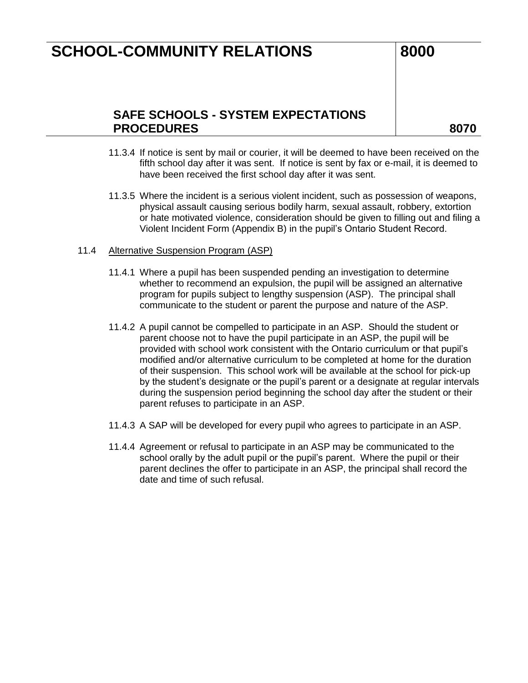### **SAFE SCHOOLS - SYSTEM EXPECTATIONS PROCEDURES 8070**

- 11.3.4 If notice is sent by mail or courier, it will be deemed to have been received on the fifth school day after it was sent. If notice is sent by fax or e-mail, it is deemed to have been received the first school day after it was sent.
- 11.3.5 Where the incident is a serious violent incident, such as possession of weapons, physical assault causing serious bodily harm, sexual assault, robbery, extortion or hate motivated violence, consideration should be given to filling out and filing a Violent Incident Form (Appendix B) in the pupil's Ontario Student Record.

#### 11.4 Alternative Suspension Program (ASP)

- 11.4.1 Where a pupil has been suspended pending an investigation to determine whether to recommend an expulsion, the pupil will be assigned an alternative program for pupils subject to lengthy suspension (ASP). The principal shall communicate to the student or parent the purpose and nature of the ASP.
- 11.4.2 A pupil cannot be compelled to participate in an ASP. Should the student or parent choose not to have the pupil participate in an ASP, the pupil will be provided with school work consistent with the Ontario curriculum or that pupil's modified and/or alternative curriculum to be completed at home for the duration of their suspension. This school work will be available at the school for pick-up by the student's designate or the pupil's parent or a designate at regular intervals during the suspension period beginning the school day after the student or their parent refuses to participate in an ASP.
- 11.4.3 A SAP will be developed for every pupil who agrees to participate in an ASP.
- 11.4.4 Agreement or refusal to participate in an ASP may be communicated to the school orally by the adult pupil or the pupil's parent. Where the pupil or their parent declines the offer to participate in an ASP, the principal shall record the date and time of such refusal.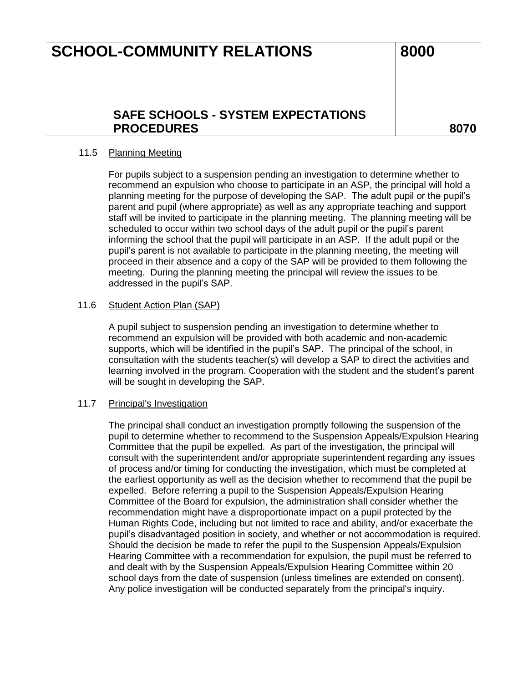### **SAFE SCHOOLS - SYSTEM EXPECTATIONS**  PROCEDURES and a series and a series of the series and a series and a series of the series and series and series  $\sim$

#### 11.5 Planning Meeting

For pupils subject to a suspension pending an investigation to determine whether to recommend an expulsion who choose to participate in an ASP, the principal will hold a planning meeting for the purpose of developing the SAP. The adult pupil or the pupil's parent and pupil (where appropriate) as well as any appropriate teaching and support staff will be invited to participate in the planning meeting. The planning meeting will be scheduled to occur within two school days of the adult pupil or the pupil's parent informing the school that the pupil will participate in an ASP. If the adult pupil or the pupil's parent is not available to participate in the planning meeting, the meeting will proceed in their absence and a copy of the SAP will be provided to them following the meeting. During the planning meeting the principal will review the issues to be addressed in the pupil's SAP.

#### 11.6 Student Action Plan (SAP)

A pupil subject to suspension pending an investigation to determine whether to recommend an expulsion will be provided with both academic and non-academic supports, which will be identified in the pupil's SAP. The principal of the school, in consultation with the students teacher(s) will develop a SAP to direct the activities and learning involved in the program. Cooperation with the student and the student's parent will be sought in developing the SAP.

#### 11.7 Principal's Investigation

The principal shall conduct an investigation promptly following the suspension of the pupil to determine whether to recommend to the Suspension Appeals/Expulsion Hearing Committee that the pupil be expelled. As part of the investigation, the principal will consult with the superintendent and/or appropriate superintendent regarding any issues of process and/or timing for conducting the investigation, which must be completed at the earliest opportunity as well as the decision whether to recommend that the pupil be expelled. Before referring a pupil to the Suspension Appeals/Expulsion Hearing Committee of the Board for expulsion, the administration shall consider whether the recommendation might have a disproportionate impact on a pupil protected by the Human Rights Code, including but not limited to race and ability, and/or exacerbate the pupil's disadvantaged position in society, and whether or not accommodation is required. Should the decision be made to refer the pupil to the Suspension Appeals/Expulsion Hearing Committee with a recommendation for expulsion, the pupil must be referred to and dealt with by the Suspension Appeals/Expulsion Hearing Committee within 20 school days from the date of suspension (unless timelines are extended on consent). Any police investigation will be conducted separately from the principal's inquiry.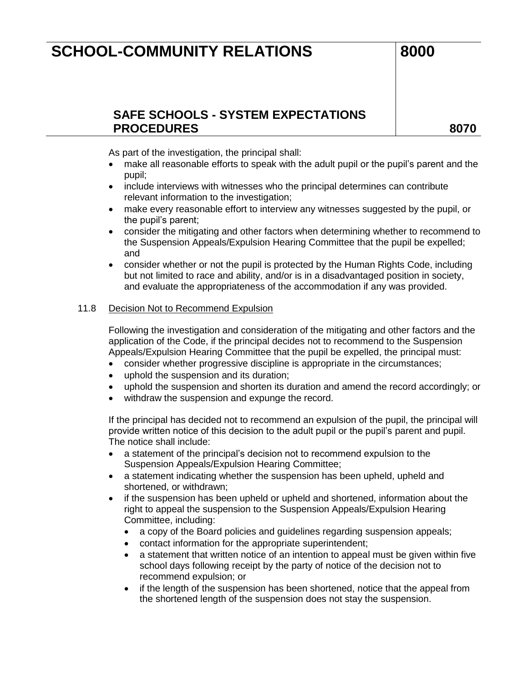## **SAFE SCHOOLS - SYSTEM EXPECTATIONS PROCEDURES 8070**

As part of the investigation, the principal shall:

- make all reasonable efforts to speak with the adult pupil or the pupil's parent and the pupil;
- include interviews with witnesses who the principal determines can contribute relevant information to the investigation;
- make every reasonable effort to interview any witnesses suggested by the pupil, or the pupil's parent;
- consider the mitigating and other factors when determining whether to recommend to the Suspension Appeals/Expulsion Hearing Committee that the pupil be expelled; and
- consider whether or not the pupil is protected by the Human Rights Code, including but not limited to race and ability, and/or is in a disadvantaged position in society, and evaluate the appropriateness of the accommodation if any was provided.

### 11.8 Decision Not to Recommend Expulsion

Following the investigation and consideration of the mitigating and other factors and the application of the Code, if the principal decides not to recommend to the Suspension Appeals/Expulsion Hearing Committee that the pupil be expelled, the principal must:

- consider whether progressive discipline is appropriate in the circumstances;
- uphold the suspension and its duration;
- uphold the suspension and shorten its duration and amend the record accordingly; or
- withdraw the suspension and expunge the record.

If the principal has decided not to recommend an expulsion of the pupil, the principal will provide written notice of this decision to the adult pupil or the pupil's parent and pupil. The notice shall include:

- a statement of the principal's decision not to recommend expulsion to the Suspension Appeals/Expulsion Hearing Committee;
- a statement indicating whether the suspension has been upheld, upheld and shortened, or withdrawn;
- if the suspension has been upheld or upheld and shortened, information about the right to appeal the suspension to the Suspension Appeals/Expulsion Hearing Committee, including:
	- a copy of the Board policies and guidelines regarding suspension appeals;
	- contact information for the appropriate superintendent;
	- a statement that written notice of an intention to appeal must be given within five school days following receipt by the party of notice of the decision not to recommend expulsion; or
	- if the length of the suspension has been shortened, notice that the appeal from the shortened length of the suspension does not stay the suspension.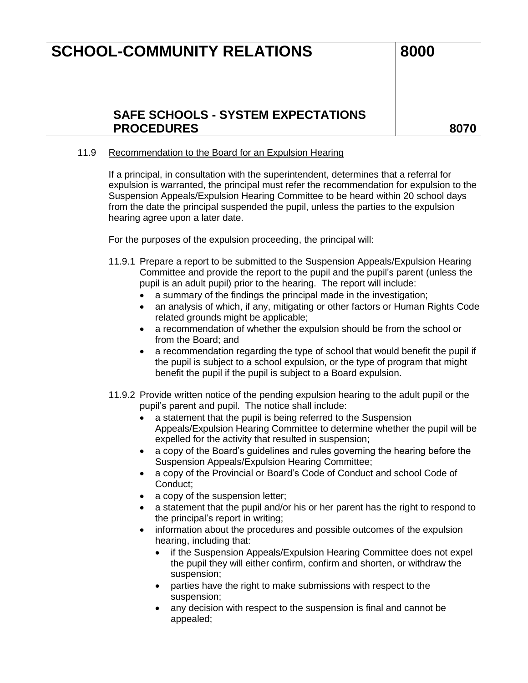### **SAFE SCHOOLS - SYSTEM EXPECTATIONS PROCEDURES 8070**

#### 11.9 Recommendation to the Board for an Expulsion Hearing

If a principal, in consultation with the superintendent, determines that a referral for expulsion is warranted, the principal must refer the recommendation for expulsion to the Suspension Appeals/Expulsion Hearing Committee to be heard within 20 school days from the date the principal suspended the pupil, unless the parties to the expulsion hearing agree upon a later date.

For the purposes of the expulsion proceeding, the principal will:

- 11.9.1 Prepare a report to be submitted to the Suspension Appeals/Expulsion Hearing Committee and provide the report to the pupil and the pupil's parent (unless the pupil is an adult pupil) prior to the hearing. The report will include:
	- a summary of the findings the principal made in the investigation;
	- an analysis of which, if any, mitigating or other factors or Human Rights Code related grounds might be applicable;
	- a recommendation of whether the expulsion should be from the school or from the Board; and
	- a recommendation regarding the type of school that would benefit the pupil if the pupil is subject to a school expulsion, or the type of program that might benefit the pupil if the pupil is subject to a Board expulsion.
- 11.9.2 Provide written notice of the pending expulsion hearing to the adult pupil or the pupil's parent and pupil. The notice shall include:
	- a statement that the pupil is being referred to the Suspension Appeals/Expulsion Hearing Committee to determine whether the pupil will be expelled for the activity that resulted in suspension;
	- a copy of the Board's guidelines and rules governing the hearing before the Suspension Appeals/Expulsion Hearing Committee;
	- a copy of the Provincial or Board's Code of Conduct and school Code of Conduct;
	- a copy of the suspension letter;
	- a statement that the pupil and/or his or her parent has the right to respond to the principal's report in writing;
	- information about the procedures and possible outcomes of the expulsion hearing, including that:
		- if the Suspension Appeals/Expulsion Hearing Committee does not expel the pupil they will either confirm, confirm and shorten, or withdraw the suspension;
		- parties have the right to make submissions with respect to the suspension;
		- any decision with respect to the suspension is final and cannot be appealed;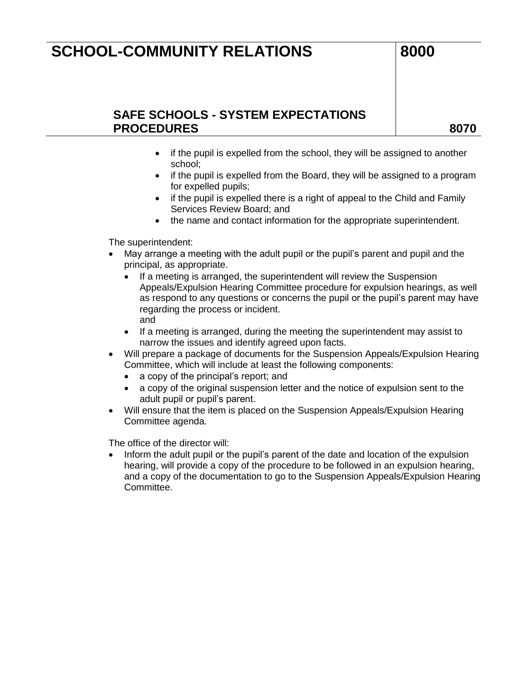## **SAFE SCHOOLS - SYSTEM EXPECTATIONS PROCEDURES 8070**

- if the pupil is expelled from the school, they will be assigned to another school;
- if the pupil is expelled from the Board, they will be assigned to a program for expelled pupils;
- if the pupil is expelled there is a right of appeal to the Child and Family Services Review Board; and
- the name and contact information for the appropriate superintendent.

The superintendent:

- May arrange a meeting with the adult pupil or the pupil's parent and pupil and the principal, as appropriate.
	- If a meeting is arranged, the superintendent will review the Suspension Appeals/Expulsion Hearing Committee procedure for expulsion hearings, as well as respond to any questions or concerns the pupil or the pupil's parent may have regarding the process or incident. and
	- If a meeting is arranged, during the meeting the superintendent may assist to narrow the issues and identify agreed upon facts.
- Will prepare a package of documents for the Suspension Appeals/Expulsion Hearing Committee, which will include at least the following components:
	- a copy of the principal's report; and
	- a copy of the original suspension letter and the notice of expulsion sent to the adult pupil or pupil's parent.
- Will ensure that the item is placed on the Suspension Appeals/Expulsion Hearing Committee agenda.

The office of the director will:

• Inform the adult pupil or the pupil's parent of the date and location of the expulsion hearing, will provide a copy of the procedure to be followed in an expulsion hearing, and a copy of the documentation to go to the Suspension Appeals/Expulsion Hearing Committee.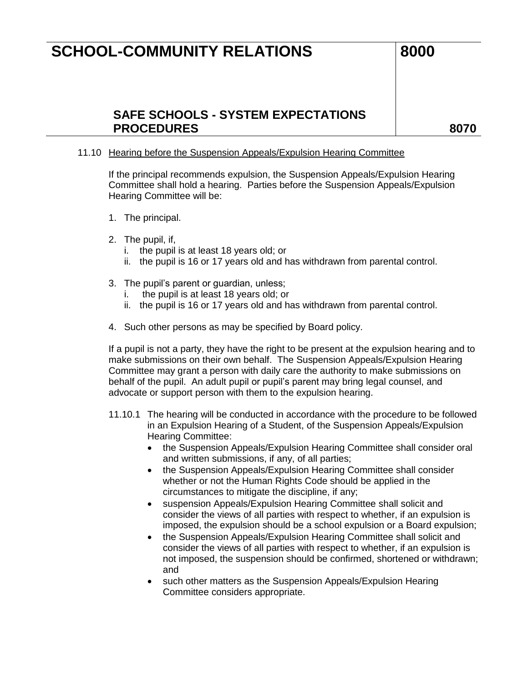### **SAFE SCHOOLS - SYSTEM EXPECTATIONS PROCEDURES 8070**

#### 11.10 Hearing before the Suspension Appeals/Expulsion Hearing Committee

If the principal recommends expulsion, the Suspension Appeals/Expulsion Hearing Committee shall hold a hearing. Parties before the Suspension Appeals/Expulsion Hearing Committee will be:

- 1. The principal.
- 2. The pupil, if,
	- i. the pupil is at least 18 years old; or
	- ii. the pupil is 16 or 17 years old and has withdrawn from parental control.
- 3. The pupil's parent or guardian, unless;
	- i. the pupil is at least 18 years old; or
	- ii. the pupil is 16 or 17 years old and has withdrawn from parental control.
- 4. Such other persons as may be specified by Board policy.

If a pupil is not a party, they have the right to be present at the expulsion hearing and to make submissions on their own behalf. The Suspension Appeals/Expulsion Hearing Committee may grant a person with daily care the authority to make submissions on behalf of the pupil. An adult pupil or pupil's parent may bring legal counsel, and advocate or support person with them to the expulsion hearing.

- 11.10.1 The hearing will be conducted in accordance with the procedure to be followed in an Expulsion Hearing of a Student, of the Suspension Appeals/Expulsion Hearing Committee:
	- the Suspension Appeals/Expulsion Hearing Committee shall consider oral and written submissions, if any, of all parties;
	- the Suspension Appeals/Expulsion Hearing Committee shall consider whether or not the Human Rights Code should be applied in the circumstances to mitigate the discipline, if any;
	- suspension Appeals/Expulsion Hearing Committee shall solicit and consider the views of all parties with respect to whether, if an expulsion is imposed, the expulsion should be a school expulsion or a Board expulsion;
	- the Suspension Appeals/Expulsion Hearing Committee shall solicit and consider the views of all parties with respect to whether, if an expulsion is not imposed, the suspension should be confirmed, shortened or withdrawn; and
	- such other matters as the Suspension Appeals/Expulsion Hearing Committee considers appropriate.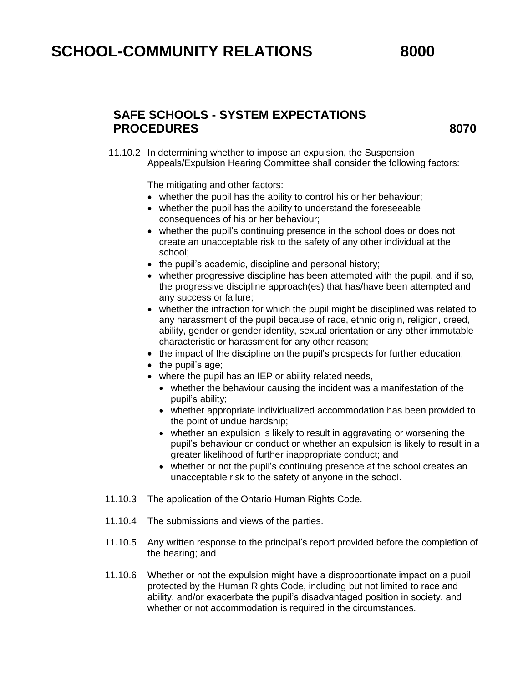### **SAFE SCHOOLS - SYSTEM EXPECTATIONS**  PROCEDURES and a series and a series of the series and a series and a series of the series and series and series  $\sim$

11.10.2 In determining whether to impose an expulsion, the Suspension Appeals/Expulsion Hearing Committee shall consider the following factors:

The mitigating and other factors:

- whether the pupil has the ability to control his or her behaviour;
- whether the pupil has the ability to understand the foreseeable consequences of his or her behaviour;
- whether the pupil's continuing presence in the school does or does not create an unacceptable risk to the safety of any other individual at the school;
- the pupil's academic, discipline and personal history;
- whether progressive discipline has been attempted with the pupil, and if so, the progressive discipline approach(es) that has/have been attempted and any success or failure;
- whether the infraction for which the pupil might be disciplined was related to any harassment of the pupil because of race, ethnic origin, religion, creed, ability, gender or gender identity, sexual orientation or any other immutable characteristic or harassment for any other reason;
- the impact of the discipline on the pupil's prospects for further education;
- the pupil's age;
- where the pupil has an IEP or ability related needs,
	- whether the behaviour causing the incident was a manifestation of the pupil's ability;
	- whether appropriate individualized accommodation has been provided to the point of undue hardship;
	- whether an expulsion is likely to result in aggravating or worsening the pupil's behaviour or conduct or whether an expulsion is likely to result in a greater likelihood of further inappropriate conduct; and
	- whether or not the pupil's continuing presence at the school creates an unacceptable risk to the safety of anyone in the school.
- 11.10.3 The application of the Ontario Human Rights Code.
- 11.10.4 The submissions and views of the parties.
- 11.10.5 Any written response to the principal's report provided before the completion of the hearing; and
- 11.10.6 Whether or not the expulsion might have a disproportionate impact on a pupil protected by the Human Rights Code, including but not limited to race and ability, and/or exacerbate the pupil's disadvantaged position in society, and whether or not accommodation is required in the circumstances.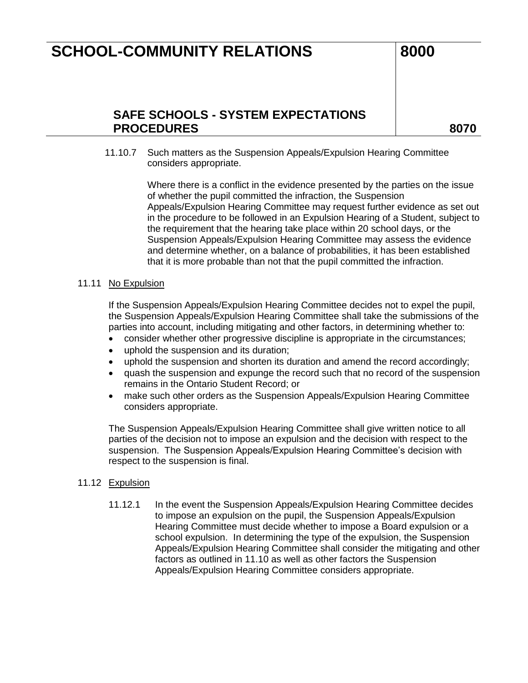## **SAFE SCHOOLS - SYSTEM EXPECTATIONS**  PROCEDURES and a series and a series of the series and a series and a series of the series and series and series  $\sim$

11.10.7 Such matters as the Suspension Appeals/Expulsion Hearing Committee considers appropriate.

> Where there is a conflict in the evidence presented by the parties on the issue of whether the pupil committed the infraction, the Suspension Appeals/Expulsion Hearing Committee may request further evidence as set out in the procedure to be followed in an Expulsion Hearing of a Student, subject to the requirement that the hearing take place within 20 school days, or the Suspension Appeals/Expulsion Hearing Committee may assess the evidence and determine whether, on a balance of probabilities, it has been established that it is more probable than not that the pupil committed the infraction.

#### 11.11 No Expulsion

If the Suspension Appeals/Expulsion Hearing Committee decides not to expel the pupil, the Suspension Appeals/Expulsion Hearing Committee shall take the submissions of the parties into account, including mitigating and other factors, in determining whether to:

- consider whether other progressive discipline is appropriate in the circumstances;
- uphold the suspension and its duration;
- uphold the suspension and shorten its duration and amend the record accordingly;
- quash the suspension and expunge the record such that no record of the suspension remains in the Ontario Student Record; or
- make such other orders as the Suspension Appeals/Expulsion Hearing Committee considers appropriate.

The Suspension Appeals/Expulsion Hearing Committee shall give written notice to all parties of the decision not to impose an expulsion and the decision with respect to the suspension. The Suspension Appeals/Expulsion Hearing Committee's decision with respect to the suspension is final.

#### 11.12 Expulsion

11.12.1 In the event the Suspension Appeals/Expulsion Hearing Committee decides to impose an expulsion on the pupil, the Suspension Appeals/Expulsion Hearing Committee must decide whether to impose a Board expulsion or a school expulsion. In determining the type of the expulsion, the Suspension Appeals/Expulsion Hearing Committee shall consider the mitigating and other factors as outlined in 11.10 as well as other factors the Suspension Appeals/Expulsion Hearing Committee considers appropriate.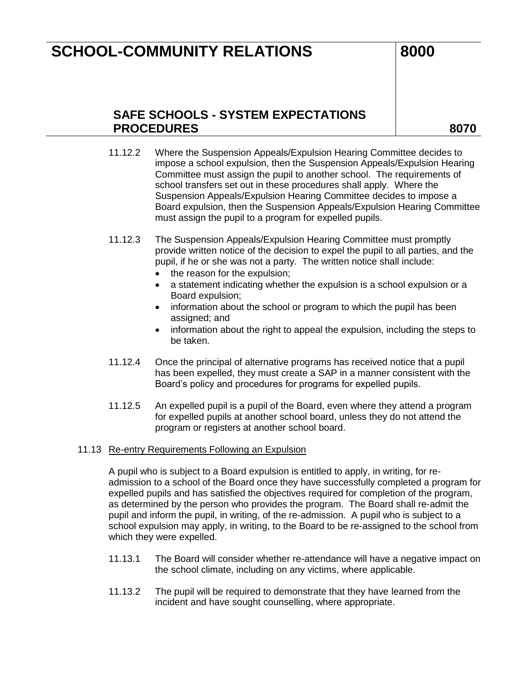### **SAFE SCHOOLS - SYSTEM EXPECTATIONS PROCEDURES 8070**

- 11.12.2 Where the Suspension Appeals/Expulsion Hearing Committee decides to impose a school expulsion, then the Suspension Appeals/Expulsion Hearing Committee must assign the pupil to another school. The requirements of school transfers set out in these procedures shall apply. Where the Suspension Appeals/Expulsion Hearing Committee decides to impose a Board expulsion, then the Suspension Appeals/Expulsion Hearing Committee must assign the pupil to a program for expelled pupils.
- 11.12.3 The Suspension Appeals/Expulsion Hearing Committee must promptly provide written notice of the decision to expel the pupil to all parties, and the pupil, if he or she was not a party. The written notice shall include:
	- the reason for the expulsion;
	- a statement indicating whether the expulsion is a school expulsion or a Board expulsion;
	- information about the school or program to which the pupil has been assigned; and
	- information about the right to appeal the expulsion, including the steps to be taken.
- 11.12.4 Once the principal of alternative programs has received notice that a pupil has been expelled, they must create a SAP in a manner consistent with the Board's policy and procedures for programs for expelled pupils.
- 11.12.5 An expelled pupil is a pupil of the Board, even where they attend a program for expelled pupils at another school board, unless they do not attend the program or registers at another school board.

#### 11.13 Re-entry Requirements Following an Expulsion

A pupil who is subject to a Board expulsion is entitled to apply, in writing, for readmission to a school of the Board once they have successfully completed a program for expelled pupils and has satisfied the objectives required for completion of the program, as determined by the person who provides the program. The Board shall re-admit the pupil and inform the pupil, in writing, of the re-admission. A pupil who is subject to a school expulsion may apply, in writing, to the Board to be re-assigned to the school from which they were expelled.

- 11.13.1 The Board will consider whether re-attendance will have a negative impact on the school climate, including on any victims, where applicable.
- 11.13.2 The pupil will be required to demonstrate that they have learned from the incident and have sought counselling, where appropriate.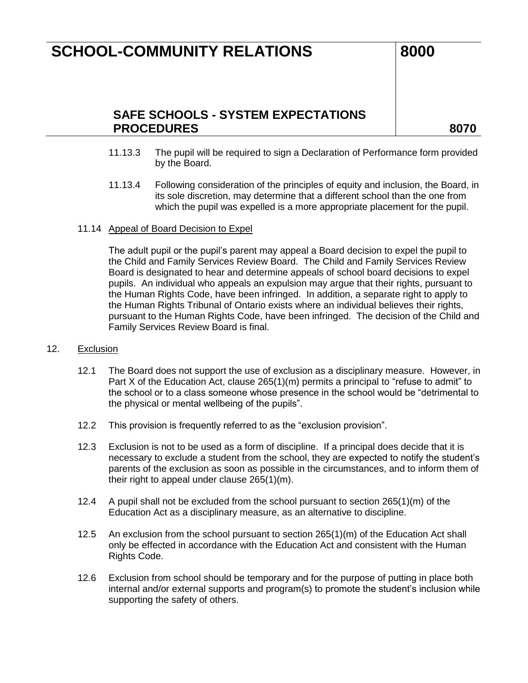## **SAFE SCHOOLS - SYSTEM EXPECTATIONS PROCEDURES 8070**

- 11.13.3 The pupil will be required to sign a Declaration of Performance form provided by the Board.
- 11.13.4 Following consideration of the principles of equity and inclusion, the Board, in its sole discretion, may determine that a different school than the one from which the pupil was expelled is a more appropriate placement for the pupil.

#### 11.14 Appeal of Board Decision to Expel

The adult pupil or the pupil's parent may appeal a Board decision to expel the pupil to the Child and Family Services Review Board. The Child and Family Services Review Board is designated to hear and determine appeals of school board decisions to expel pupils. An individual who appeals an expulsion may argue that their rights, pursuant to the Human Rights Code, have been infringed. In addition, a separate right to apply to the Human Rights Tribunal of Ontario exists where an individual believes their rights, pursuant to the Human Rights Code, have been infringed. The decision of the Child and Family Services Review Board is final.

#### 12. Exclusion

- 12.1 The Board does not support the use of exclusion as a disciplinary measure. However, in Part X of the Education Act, clause 265(1)(m) permits a principal to "refuse to admit" to the school or to a class someone whose presence in the school would be "detrimental to the physical or mental wellbeing of the pupils".
- 12.2 This provision is frequently referred to as the "exclusion provision".
- 12.3 Exclusion is not to be used as a form of discipline. If a principal does decide that it is necessary to exclude a student from the school, they are expected to notify the student's parents of the exclusion as soon as possible in the circumstances, and to inform them of their right to appeal under clause 265(1)(m).
- 12.4 A pupil shall not be excluded from the school pursuant to section 265(1)(m) of the Education Act as a disciplinary measure, as an alternative to discipline.
- 12.5 An exclusion from the school pursuant to section 265(1)(m) of the Education Act shall only be effected in accordance with the Education Act and consistent with the Human Rights Code.
- 12.6 Exclusion from school should be temporary and for the purpose of putting in place both internal and/or external supports and program(s) to promote the student's inclusion while supporting the safety of others.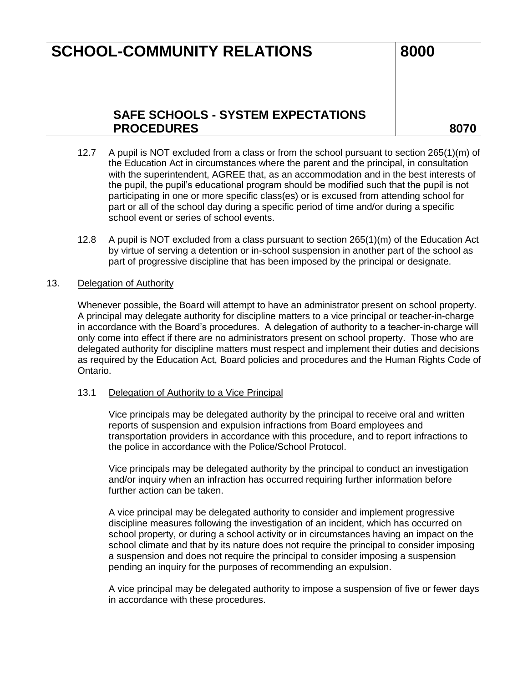## **SAFE SCHOOLS - SYSTEM EXPECTATIONS PROCEDURES 8070**

- 12.7 A pupil is NOT excluded from a class or from the school pursuant to section 265(1)(m) of the Education Act in circumstances where the parent and the principal, in consultation with the superintendent, AGREE that, as an accommodation and in the best interests of the pupil, the pupil's educational program should be modified such that the pupil is not participating in one or more specific class(es) or is excused from attending school for part or all of the school day during a specific period of time and/or during a specific school event or series of school events.
- 12.8 A pupil is NOT excluded from a class pursuant to section 265(1)(m) of the Education Act by virtue of serving a detention or in-school suspension in another part of the school as part of progressive discipline that has been imposed by the principal or designate.

#### 13. Delegation of Authority

Whenever possible, the Board will attempt to have an administrator present on school property. A principal may delegate authority for discipline matters to a vice principal or teacher-in-charge in accordance with the Board's procedures. A delegation of authority to a teacher-in-charge will only come into effect if there are no administrators present on school property. Those who are delegated authority for discipline matters must respect and implement their duties and decisions as required by the Education Act, Board policies and procedures and the Human Rights Code of Ontario.

#### 13.1 Delegation of Authority to a Vice Principal

Vice principals may be delegated authority by the principal to receive oral and written reports of suspension and expulsion infractions from Board employees and transportation providers in accordance with this procedure, and to report infractions to the police in accordance with the Police/School Protocol.

Vice principals may be delegated authority by the principal to conduct an investigation and/or inquiry when an infraction has occurred requiring further information before further action can be taken.

A vice principal may be delegated authority to consider and implement progressive discipline measures following the investigation of an incident, which has occurred on school property, or during a school activity or in circumstances having an impact on the school climate and that by its nature does not require the principal to consider imposing a suspension and does not require the principal to consider imposing a suspension pending an inquiry for the purposes of recommending an expulsion.

A vice principal may be delegated authority to impose a suspension of five or fewer days in accordance with these procedures.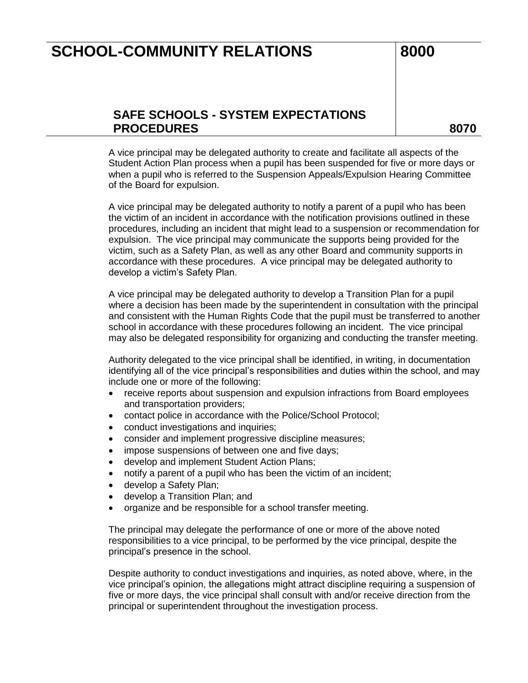## **SAFE SCHOOLS - SYSTEM EXPECTATIONS PROCEDURES 8070**

A vice principal may be delegated authority to create and facilitate all aspects of the Student Action Plan process when a pupil has been suspended for five or more days or when a pupil who is referred to the Suspension Appeals/Expulsion Hearing Committee of the Board for expulsion.

A vice principal may be delegated authority to notify a parent of a pupil who has been the victim of an incident in accordance with the notification provisions outlined in these procedures, including an incident that might lead to a suspension or recommendation for expulsion. The vice principal may communicate the supports being provided for the victim, such as a Safety Plan, as well as any other Board and community supports in accordance with these procedures. A vice principal may be delegated authority to develop a victim's Safety Plan.

A vice principal may be delegated authority to develop a Transition Plan for a pupil where a decision has been made by the superintendent in consultation with the principal and consistent with the Human Rights Code that the pupil must be transferred to another school in accordance with these procedures following an incident. The vice principal may also be delegated responsibility for organizing and conducting the transfer meeting.

Authority delegated to the vice principal shall be identified, in writing, in documentation identifying all of the vice principal's responsibilities and duties within the school, and may include one or more of the following:

- receive reports about suspension and expulsion infractions from Board employees and transportation providers;
- contact police in accordance with the Police/School Protocol;
- conduct investigations and inquiries;
- consider and implement progressive discipline measures;
- impose suspensions of between one and five days;
- develop and implement Student Action Plans;
- notify a parent of a pupil who has been the victim of an incident;
- develop a Safety Plan;
- develop a Transition Plan; and
- organize and be responsible for a school transfer meeting.

The principal may delegate the performance of one or more of the above noted responsibilities to a vice principal, to be performed by the vice principal, despite the principal's presence in the school.

Despite authority to conduct investigations and inquiries, as noted above, where, in the vice principal's opinion, the allegations might attract discipline requiring a suspension of five or more days, the vice principal shall consult with and/or receive direction from the principal or superintendent throughout the investigation process.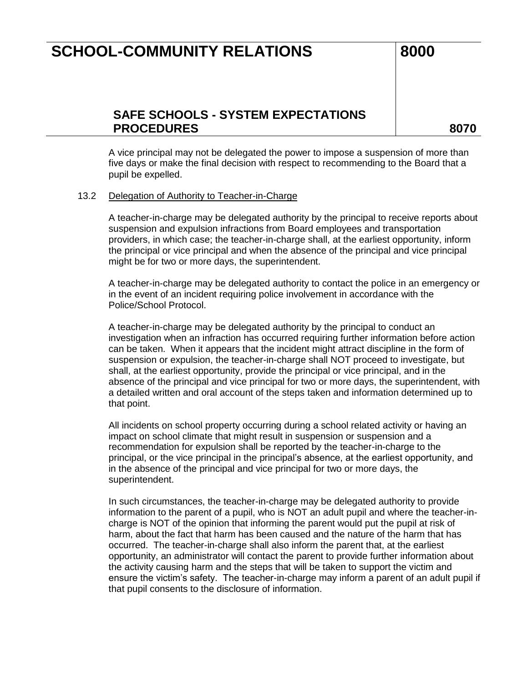### **SAFE SCHOOLS - SYSTEM EXPECTATIONS PROCEDURES 8070**

A vice principal may not be delegated the power to impose a suspension of more than five days or make the final decision with respect to recommending to the Board that a pupil be expelled.

#### 13.2 Delegation of Authority to Teacher-in-Charge

A teacher-in-charge may be delegated authority by the principal to receive reports about suspension and expulsion infractions from Board employees and transportation providers, in which case; the teacher-in-charge shall, at the earliest opportunity, inform the principal or vice principal and when the absence of the principal and vice principal might be for two or more days, the superintendent.

A teacher-in-charge may be delegated authority to contact the police in an emergency or in the event of an incident requiring police involvement in accordance with the Police/School Protocol.

A teacher-in-charge may be delegated authority by the principal to conduct an investigation when an infraction has occurred requiring further information before action can be taken. When it appears that the incident might attract discipline in the form of suspension or expulsion, the teacher-in-charge shall NOT proceed to investigate, but shall, at the earliest opportunity, provide the principal or vice principal, and in the absence of the principal and vice principal for two or more days, the superintendent, with a detailed written and oral account of the steps taken and information determined up to that point.

All incidents on school property occurring during a school related activity or having an impact on school climate that might result in suspension or suspension and a recommendation for expulsion shall be reported by the teacher-in-charge to the principal, or the vice principal in the principal's absence, at the earliest opportunity, and in the absence of the principal and vice principal for two or more days, the superintendent.

In such circumstances, the teacher-in-charge may be delegated authority to provide information to the parent of a pupil, who is NOT an adult pupil and where the teacher-incharge is NOT of the opinion that informing the parent would put the pupil at risk of harm, about the fact that harm has been caused and the nature of the harm that has occurred. The teacher-in-charge shall also inform the parent that, at the earliest opportunity, an administrator will contact the parent to provide further information about the activity causing harm and the steps that will be taken to support the victim and ensure the victim's safety. The teacher-in-charge may inform a parent of an adult pupil if that pupil consents to the disclosure of information.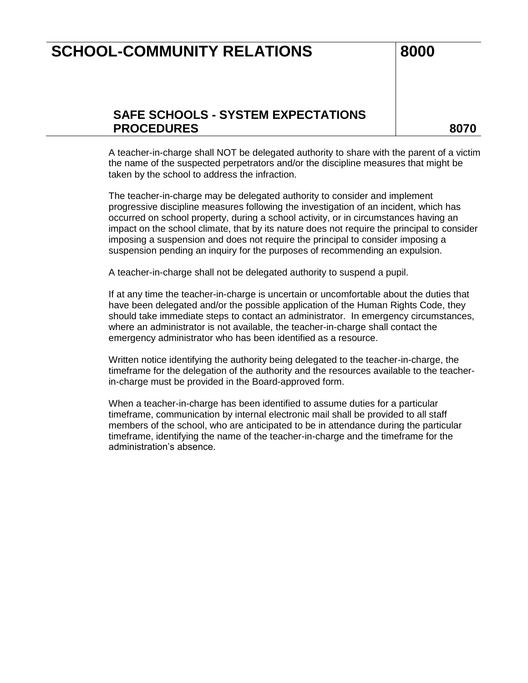### **SAFE SCHOOLS - SYSTEM EXPECTATIONS PROCEDURES 8070**

A teacher-in-charge shall NOT be delegated authority to share with the parent of a victim the name of the suspected perpetrators and/or the discipline measures that might be taken by the school to address the infraction.

The teacher-in-charge may be delegated authority to consider and implement progressive discipline measures following the investigation of an incident, which has occurred on school property, during a school activity, or in circumstances having an impact on the school climate, that by its nature does not require the principal to consider imposing a suspension and does not require the principal to consider imposing a suspension pending an inquiry for the purposes of recommending an expulsion.

A teacher-in-charge shall not be delegated authority to suspend a pupil.

If at any time the teacher-in-charge is uncertain or uncomfortable about the duties that have been delegated and/or the possible application of the Human Rights Code, they should take immediate steps to contact an administrator. In emergency circumstances, where an administrator is not available, the teacher-in-charge shall contact the emergency administrator who has been identified as a resource.

Written notice identifying the authority being delegated to the teacher-in-charge, the timeframe for the delegation of the authority and the resources available to the teacherin-charge must be provided in the Board-approved form.

When a teacher-in-charge has been identified to assume duties for a particular timeframe, communication by internal electronic mail shall be provided to all staff members of the school, who are anticipated to be in attendance during the particular timeframe, identifying the name of the teacher-in-charge and the timeframe for the administration's absence.